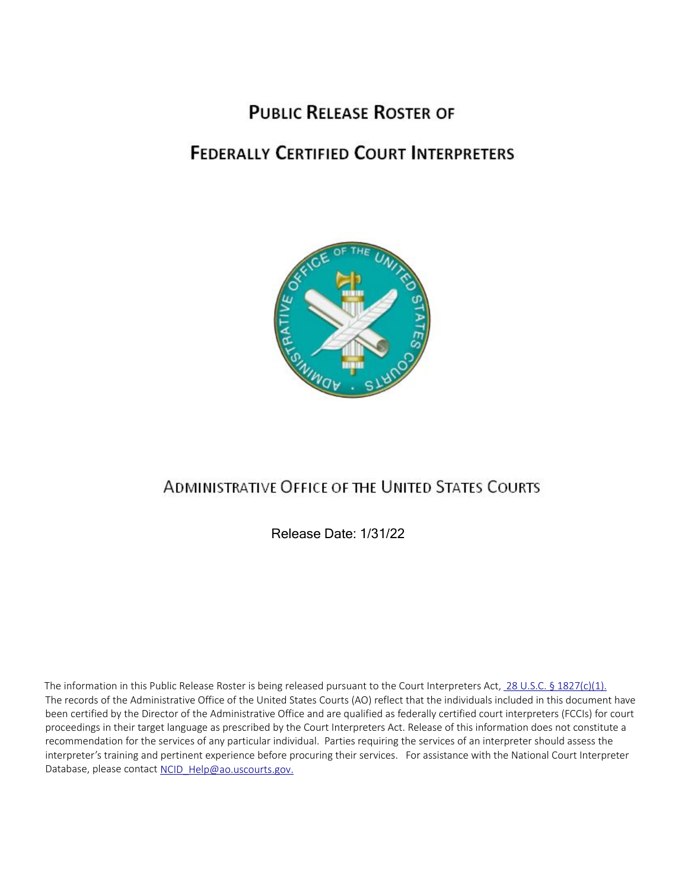# **PUBLIC RELEASE ROSTER OF**

# **FEDERALLY CERTIFIED COURT INTERPRETERS**



# **ADMINISTRATIVE OFFICE OF THE UNITED STATES COURTS**

Release Date: 1/31/22

The records of the Administrative Office of the United States Courts (AO) reflect that the individuals included in this document have been certified by the Director of the Administrative Office and are qualified as federally certified court interpreters (FCCIs) for court proceedings in their target language as prescribed by the Court Interpreters Act. Release of this information does not constitute a recommendation for the services of any particular individual. Parties requiring the services of an interpreter should assess the interpreter's training and pertinent experience before procuring their services. For assistance with the National Court Interpreter Database, please contact NCID Help@ao.uscourts.gov. The information in this Public Release Roster is being released pursuant to the Court Interpreters Act, [28 U.S.C. § 1827\(c\)\(1\).](https://www.law.cornell.edu/uscode/text/28/1827#c)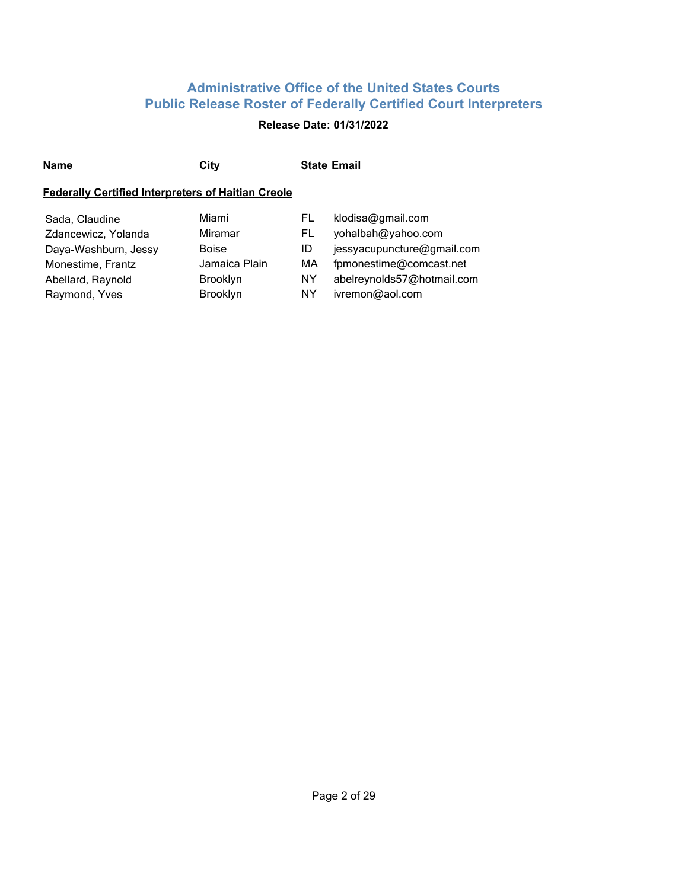## **Release Date: 01/31/2022**

| Name | City | <b>State Email</b> |
|------|------|--------------------|
|      |      |                    |

## **Federally Certified Interpreters of Haitian Creole**

| Sada, Claudine       | Miami           | FL. | klodisa@gmail.com          |
|----------------------|-----------------|-----|----------------------------|
| Zdancewicz, Yolanda  | Miramar         | FL. | yohalbah@yahoo.com         |
| Daya-Washburn, Jessy | <b>Boise</b>    | ID  | jessyacupuncture@gmail.com |
| Monestime, Frantz    | Jamaica Plain   | MA  | fpmonestime@comcast.net    |
| Abellard, Raynold    | <b>Brooklyn</b> | NY. | abelreynolds57@hotmail.com |
| Raymond, Yves        | Brooklyn        | NY. | ivremon@aol.com            |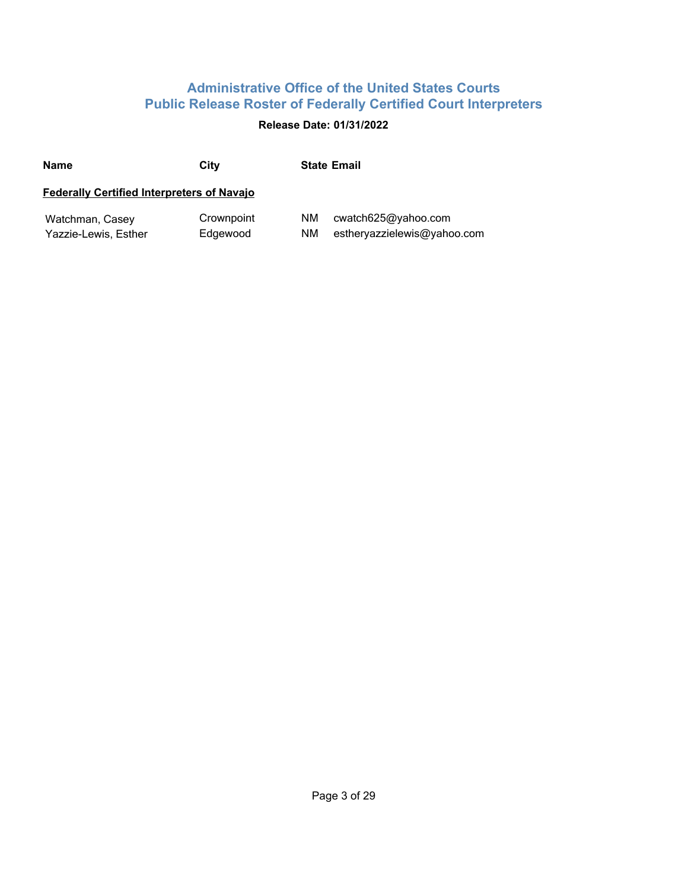## **Release Date: 01/31/2022**

| <b>Name</b>                                       | City                   | <b>State Email</b>                                             |
|---------------------------------------------------|------------------------|----------------------------------------------------------------|
| <b>Federally Certified Interpreters of Navajo</b> |                        |                                                                |
| Watchman, Casey<br>Yazzie-Lewis, Esther           | Crownpoint<br>Edgewood | ΝM<br>cwatch625@yahoo.com<br>estheryazzielewis@yahoo.com<br>ΝM |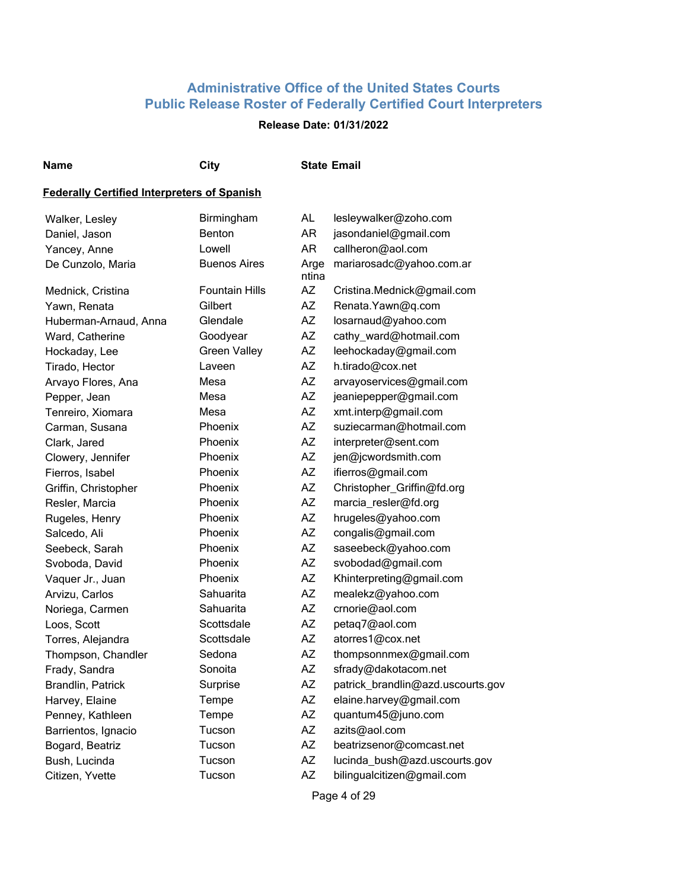## **Release Date: 01/31/2022**

#### **Name City State Email**

#### **Federally Certified Interpreters of Spanish**

| Walker, Lesley        | Birmingham            | AL            | lesleywalker@zoho.com             |
|-----------------------|-----------------------|---------------|-----------------------------------|
| Daniel, Jason         | <b>Benton</b>         | <b>AR</b>     | jasondaniel@gmail.com             |
| Yancey, Anne          | Lowell                | AR            | callheron@aol.com                 |
| De Cunzolo, Maria     | <b>Buenos Aires</b>   | Arge<br>ntina | mariarosadc@yahoo.com.ar          |
| Mednick, Cristina     | <b>Fountain Hills</b> | <b>AZ</b>     | Cristina.Mednick@gmail.com        |
| Yawn, Renata          | Gilbert               | <b>AZ</b>     | Renata.Yawn@q.com                 |
| Huberman-Arnaud, Anna | Glendale              | AZ            | losarnaud@yahoo.com               |
| Ward, Catherine       | Goodyear              | <b>AZ</b>     | cathy_ward@hotmail.com            |
| Hockaday, Lee         | <b>Green Valley</b>   | <b>AZ</b>     | leehockaday@gmail.com             |
| Tirado, Hector        | Laveen                | AZ            | h.tirado@cox.net                  |
| Arvayo Flores, Ana    | Mesa                  | <b>AZ</b>     | arvayoservices@gmail.com          |
| Pepper, Jean          | Mesa                  | <b>AZ</b>     | jeaniepepper@gmail.com            |
| Tenreiro, Xiomara     | Mesa                  | AZ            | xmt.interp@gmail.com              |
| Carman, Susana        | Phoenix               | <b>AZ</b>     | suziecarman@hotmail.com           |
| Clark, Jared          | Phoenix               | <b>AZ</b>     | interpreter@sent.com              |
| Clowery, Jennifer     | Phoenix               | AZ            | jen@jcwordsmith.com               |
| Fierros, Isabel       | Phoenix               | <b>AZ</b>     | ifierros@gmail.com                |
| Griffin, Christopher  | Phoenix               | <b>AZ</b>     | Christopher_Griffin@fd.org        |
| Resler, Marcia        | Phoenix               | AZ            | marcia_resler@fd.org              |
| Rugeles, Henry        | Phoenix               | <b>AZ</b>     | hrugeles@yahoo.com                |
| Salcedo, Ali          | Phoenix               | <b>AZ</b>     | congalis@gmail.com                |
| Seebeck, Sarah        | Phoenix               | <b>AZ</b>     | saseebeck@yahoo.com               |
| Svoboda, David        | Phoenix               | <b>AZ</b>     | svobodad@gmail.com                |
| Vaquer Jr., Juan      | Phoenix               | <b>AZ</b>     | Khinterpreting@gmail.com          |
| Arvizu, Carlos        | Sahuarita             | AZ            | mealekz@yahoo.com                 |
| Noriega, Carmen       | Sahuarita             | AZ            | crnorie@aol.com                   |
| Loos, Scott           | Scottsdale            | AZ            | petaq7@aol.com                    |
| Torres, Alejandra     | Scottsdale            | AZ            | atorres1@cox.net                  |
| Thompson, Chandler    | Sedona                | <b>AZ</b>     | thompsonnmex@gmail.com            |
| Frady, Sandra         | Sonoita               | <b>AZ</b>     | sfrady@dakotacom.net              |
| Brandlin, Patrick     | Surprise              | AZ            | patrick_brandlin@azd.uscourts.gov |
| Harvey, Elaine        | Tempe                 | <b>AZ</b>     | elaine.harvey@gmail.com           |
| Penney, Kathleen      | Tempe                 | <b>AZ</b>     | quantum45@juno.com                |
| Barrientos, Ignacio   | Tucson                | <b>AZ</b>     | azits@aol.com                     |
| Bogard, Beatriz       | Tucson                | AZ            | beatrizsenor@comcast.net          |
| Bush, Lucinda         | Tucson                | ΑZ            | lucinda_bush@azd.uscourts.gov     |
| Citizen, Yvette       | Tucson                | <b>AZ</b>     | bilingualcitizen@gmail.com        |
|                       |                       |               |                                   |

Page 4 of 29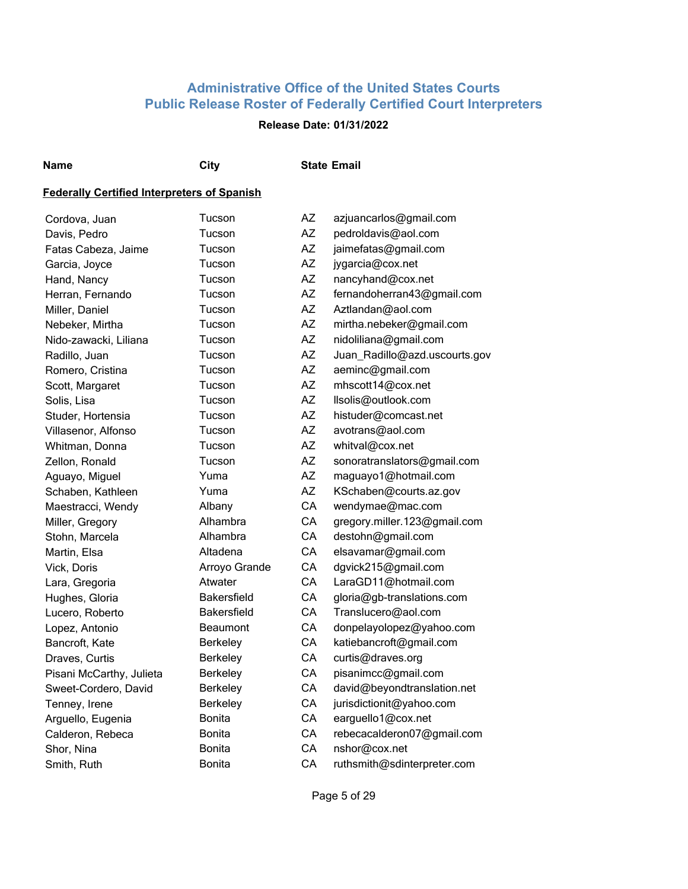## **Release Date: 01/31/2022**

**Name City State Email**

## **Federally Certified Interpreters of Spanish**

| Cordova, Juan            | Tucson             | ΑZ        | azjuancarlos@gmail.com        |
|--------------------------|--------------------|-----------|-------------------------------|
| Davis, Pedro             | Tucson             | <b>AZ</b> | pedroldavis@aol.com           |
| Fatas Cabeza, Jaime      | Tucson             | <b>AZ</b> | jaimefatas@gmail.com          |
| Garcia, Joyce            | Tucson             | <b>AZ</b> | jygarcia@cox.net              |
| Hand, Nancy              | Tucson             | AZ        | nancyhand@cox.net             |
| Herran, Fernando         | Tucson             | <b>AZ</b> | fernandoherran43@gmail.com    |
| Miller, Daniel           | Tucson             | AZ        | Aztlandan@aol.com             |
| Nebeker, Mirtha          | Tucson             | AZ        | mirtha.nebeker@gmail.com      |
| Nido-zawacki, Liliana    | Tucson             | AZ        | nidoliliana@gmail.com         |
| Radillo, Juan            | Tucson             | <b>AZ</b> | Juan_Radillo@azd.uscourts.gov |
| Romero, Cristina         | Tucson             | AZ        | aeminc@gmail.com              |
| Scott, Margaret          | Tucson             | <b>AZ</b> | mhscott14@cox.net             |
| Solis, Lisa              | Tucson             | AZ        | llsolis@outlook.com           |
| Studer, Hortensia        | Tucson             | <b>AZ</b> | histuder@comcast.net          |
| Villasenor, Alfonso      | Tucson             | <b>AZ</b> | avotrans@aol.com              |
| Whitman, Donna           | Tucson             | <b>AZ</b> | whitval@cox.net               |
| Zellon, Ronald           | Tucson             | <b>AZ</b> | sonoratranslators@gmail.com   |
| Aguayo, Miguel           | Yuma               | <b>AZ</b> | maguayo1@hotmail.com          |
| Schaben, Kathleen        | Yuma               | <b>AZ</b> | KSchaben@courts.az.gov        |
| Maestracci, Wendy        | Albany             | CA        | wendymae@mac.com              |
| Miller, Gregory          | Alhambra           | CA        | gregory.miller.123@gmail.com  |
| Stohn, Marcela           | Alhambra           | CA        | destohn@gmail.com             |
| Martin, Elsa             | Altadena           | CA        | elsavamar@gmail.com           |
| Vick, Doris              | Arroyo Grande      | CA        | dgvick215@gmail.com           |
| Lara, Gregoria           | Atwater            | CA        | LaraGD11@hotmail.com          |
| Hughes, Gloria           | <b>Bakersfield</b> | CA        | gloria@gb-translations.com    |
| Lucero, Roberto          | <b>Bakersfield</b> | CA        | Translucero@aol.com           |
| Lopez, Antonio           | <b>Beaumont</b>    | CA        | donpelayolopez@yahoo.com      |
| Bancroft, Kate           | <b>Berkeley</b>    | CA        | katiebancroft@gmail.com       |
| Draves, Curtis           | <b>Berkeley</b>    | CA        | curtis@draves.org             |
| Pisani McCarthy, Julieta | Berkeley           | CA        | pisanimcc@gmail.com           |
| Sweet-Cordero, David     | <b>Berkeley</b>    | CA        | david@beyondtranslation.net   |
| Tenney, Irene            | Berkeley           | CA        | jurisdictionit@yahoo.com      |
| Arguello, Eugenia        | Bonita             | CA        | earguello1@cox.net            |
| Calderon, Rebeca         | <b>Bonita</b>      | CA        | rebecacalderon07@gmail.com    |
| Shor, Nina               | <b>Bonita</b>      | CA        | nshor@cox.net                 |
| Smith, Ruth              | Bonita             | CA        | ruthsmith@sdinterpreter.com   |
|                          |                    |           |                               |

Page 5 of 29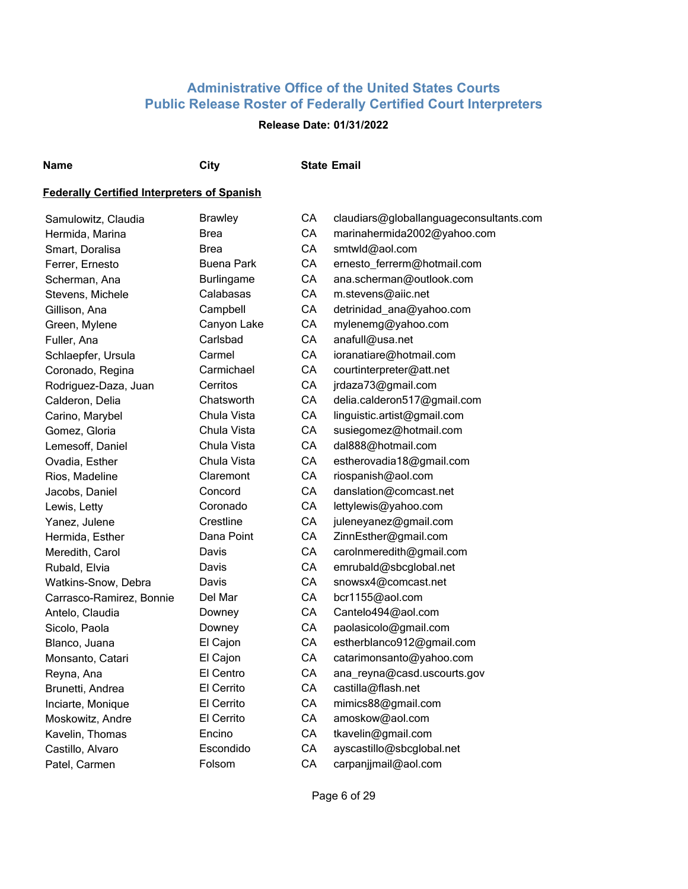## **Release Date: 01/31/2022**

**Name City State Email**

## **Federally Certified Interpreters of Spanish**

| Samulowitz, Claudia      | <b>Brawley</b>    | СA | claudiars@globallanguageconsultants.com |
|--------------------------|-------------------|----|-----------------------------------------|
| Hermida, Marina          | <b>Brea</b>       | CA | marinahermida2002@yahoo.com             |
| Smart, Doralisa          | Brea              | CA | smtwld@aol.com                          |
| Ferrer, Ernesto          | <b>Buena Park</b> | CA | ernesto_ferrerm@hotmail.com             |
| Scherman, Ana            | <b>Burlingame</b> | CA | ana.scherman@outlook.com                |
| Stevens, Michele         | Calabasas         | CA | m.stevens@aiic.net                      |
| Gillison, Ana            | Campbell          | CA | detrinidad_ana@yahoo.com                |
| Green, Mylene            | Canyon Lake       | CA | mylenemg@yahoo.com                      |
| Fuller, Ana              | Carlsbad          | CA | anafull@usa.net                         |
| Schlaepfer, Ursula       | Carmel            | CA | ioranatiare@hotmail.com                 |
| Coronado, Regina         | Carmichael        | CA | courtinterpreter@att.net                |
| Rodriguez-Daza, Juan     | Cerritos          | CA | jrdaza73@gmail.com                      |
| Calderon, Delia          | Chatsworth        | CA | delia.calderon517@gmail.com             |
| Carino, Marybel          | Chula Vista       | CA | linguistic.artist@gmail.com             |
| Gomez, Gloria            | Chula Vista       | CA | susiegomez@hotmail.com                  |
| Lemesoff, Daniel         | Chula Vista       | CA | dal888@hotmail.com                      |
| Ovadia, Esther           | Chula Vista       | CA | estherovadia18@gmail.com                |
| Rios, Madeline           | Claremont         | CA | riospanish@aol.com                      |
| Jacobs, Daniel           | Concord           | CA | danslation@comcast.net                  |
| Lewis, Letty             | Coronado          | CA | lettylewis@yahoo.com                    |
| Yanez, Julene            | Crestline         | CA | juleneyanez@gmail.com                   |
| Hermida, Esther          | Dana Point        | CA | ZinnEsther@gmail.com                    |
| Meredith, Carol          | Davis             | CA | carolnmeredith@gmail.com                |
| Rubald, Elvia            | Davis             | CA | emrubald@sbcglobal.net                  |
| Watkins-Snow, Debra      | Davis             | CA | snowsx4@comcast.net                     |
| Carrasco-Ramirez, Bonnie | Del Mar           | CA | bcr1155@aol.com                         |
| Antelo, Claudia          | Downey            | CA | Cantelo494@aol.com                      |
| Sicolo, Paola            | Downey            | CA | paolasicolo@gmail.com                   |
| Blanco, Juana            | El Cajon          | CA | estherblanco912@gmail.com               |
| Monsanto, Catari         | El Cajon          | CA | catarimonsanto@yahoo.com                |
| Reyna, Ana               | El Centro         | CA | ana_reyna@casd.uscourts.gov             |
| Brunetti, Andrea         | El Cerrito        | CA | castilla@flash.net                      |
| Inciarte, Monique        | El Cerrito        | CA | mimics88@gmail.com                      |
| Moskowitz, Andre         | El Cerrito        | CA | amoskow@aol.com                         |
| Kavelin, Thomas          | Encino            | CA | tkavelin@gmail.com                      |
| Castillo, Alvaro         | Escondido         | CA | ayscastillo@sbcglobal.net               |
| Patel, Carmen            | Folsom            | CA | carpanjjmail@aol.com                    |

Page 6 of 29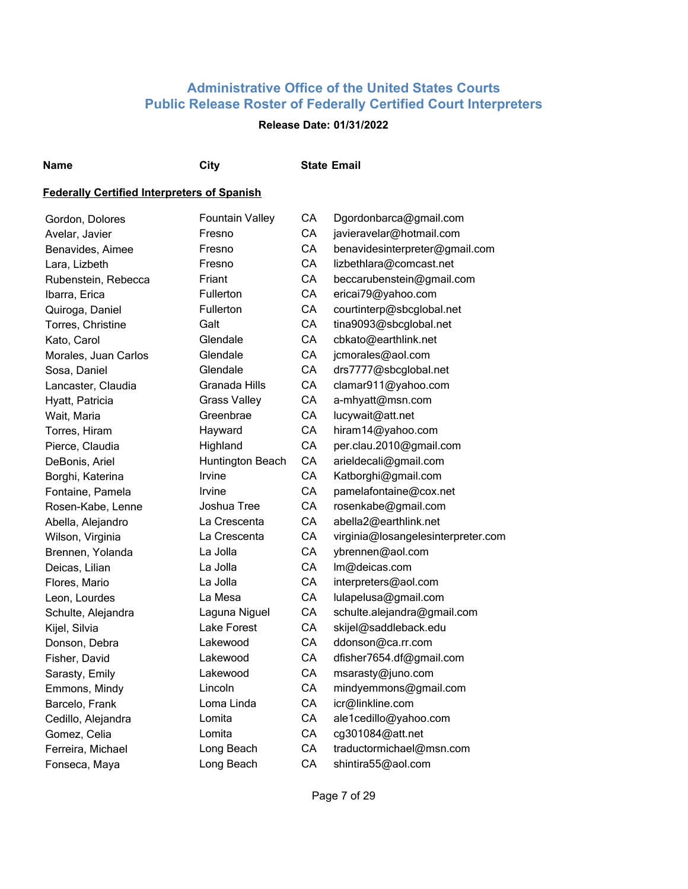## **Release Date: 01/31/2022**

**Name City State Email**

| Gordon, Dolores      | <b>Fountain Valley</b> | CA | Dgordonbarca@gmail.com             |
|----------------------|------------------------|----|------------------------------------|
| Avelar, Javier       | Fresno                 | CA | javieravelar@hotmail.com           |
| Benavides, Aimee     | Fresno                 | CA | benavidesinterpreter@gmail.com     |
| Lara, Lizbeth        | Fresno                 | CA | lizbethlara@comcast.net            |
| Rubenstein, Rebecca  | Friant                 | CA | beccarubenstein@gmail.com          |
| Ibarra, Erica        | <b>Fullerton</b>       | CA | ericai79@yahoo.com                 |
| Quiroga, Daniel      | Fullerton              | CA | courtinterp@sbcglobal.net          |
| Torres, Christine    | Galt                   | CA | tina9093@sbcglobal.net             |
| Kato, Carol          | Glendale               | CA | cbkato@earthlink.net               |
| Morales, Juan Carlos | Glendale               | CA | jcmorales@aol.com                  |
| Sosa, Daniel         | Glendale               | CA | drs7777@sbcglobal.net              |
| Lancaster, Claudia   | Granada Hills          | CA | clamar911@yahoo.com                |
| Hyatt, Patricia      | <b>Grass Valley</b>    | CA | a-mhyatt@msn.com                   |
| Wait, Maria          | Greenbrae              | CA | lucywait@att.net                   |
| Torres, Hiram        | Hayward                | CA | hiram14@yahoo.com                  |
| Pierce, Claudia      | Highland               | CA | per.clau.2010@gmail.com            |
| DeBonis, Ariel       | Huntington Beach       | CA | arieldecali@gmail.com              |
| Borghi, Katerina     | Irvine                 | CA | Katborghi@gmail.com                |
| Fontaine, Pamela     | Irvine                 | CA | pamelafontaine@cox.net             |
| Rosen-Kabe, Lenne    | Joshua Tree            | CA | rosenkabe@gmail.com                |
| Abella, Alejandro    | La Crescenta           | CA | abella2@earthlink.net              |
| Wilson, Virginia     | La Crescenta           | CA | virginia@losangelesinterpreter.com |
| Brennen, Yolanda     | La Jolla               | CA | ybrennen@aol.com                   |
| Deicas, Lilian       | La Jolla               | CA | Im@deicas.com                      |
| Flores, Mario        | La Jolla               | CA | interpreters@aol.com               |
| Leon, Lourdes        | La Mesa                | CA | lulapelusa@gmail.com               |
| Schulte, Alejandra   | Laguna Niguel          | CA | schulte.alejandra@gmail.com        |
| Kijel, Silvia        | Lake Forest            | CA | skijel@saddleback.edu              |
| Donson, Debra        | Lakewood               | CA | ddonson@ca.rr.com                  |
| Fisher, David        | Lakewood               | CA | dfisher7654.df@gmail.com           |
| Sarasty, Emily       | Lakewood               | CA | msarasty@juno.com                  |
| Emmons, Mindy        | Lincoln                | CA | mindyemmons@gmail.com              |
| Barcelo, Frank       | Loma Linda             | CA | icr@linkline.com                   |
| Cedillo, Alejandra   | Lomita                 | CA | ale1cedillo@yahoo.com              |
| Gomez, Celia         | Lomita                 | CA | cg301084@att.net                   |
| Ferreira, Michael    | Long Beach             | CA | traductormichael@msn.com           |
| Fonseca, Maya        | Long Beach             | CA | shintira55@aol.com                 |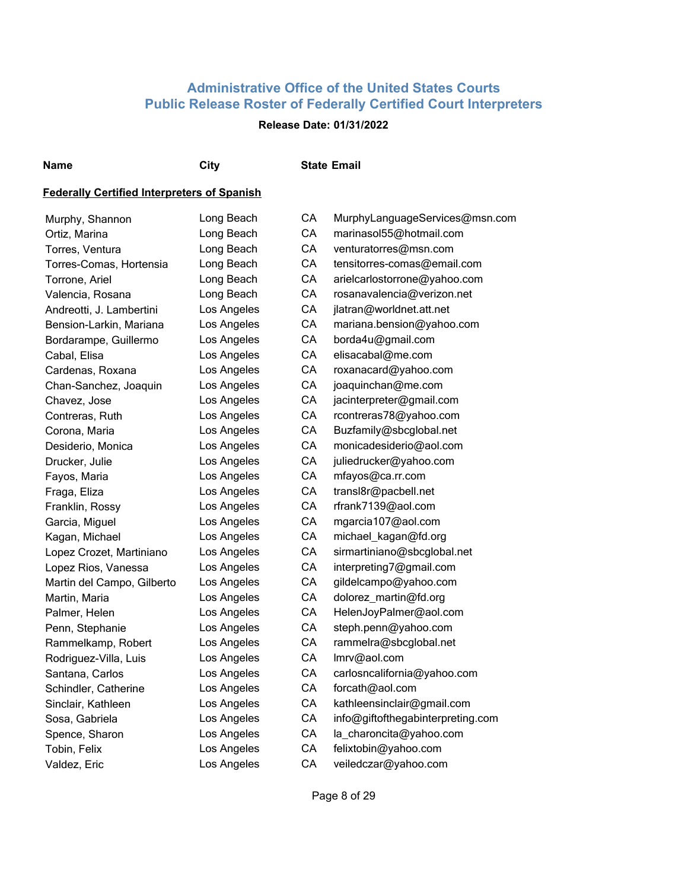## **Release Date: 01/31/2022**

## **Name City State Email**

| Murphy, Shannon            | Long Beach  | CA | MurphyLanguageServices@msn.com    |
|----------------------------|-------------|----|-----------------------------------|
| Ortiz, Marina              | Long Beach  | CA | marinasol55@hotmail.com           |
| Torres, Ventura            | Long Beach  | CA | venturatorres@msn.com             |
| Torres-Comas, Hortensia    | Long Beach  | CA | tensitorres-comas@email.com       |
| Torrone, Ariel             | Long Beach  | CA | arielcarlostorrone@yahoo.com      |
| Valencia, Rosana           | Long Beach  | СA | rosanavalencia@verizon.net        |
| Andreotti, J. Lambertini   | Los Angeles | СA | jlatran@worldnet.att.net          |
| Bension-Larkin, Mariana    | Los Angeles | СA | mariana.bension@yahoo.com         |
| Bordarampe, Guillermo      | Los Angeles | CA | borda4u@gmail.com                 |
| Cabal, Elisa               | Los Angeles | CA | elisacabal@me.com                 |
| Cardenas, Roxana           | Los Angeles | CA | roxanacard@yahoo.com              |
| Chan-Sanchez, Joaquin      | Los Angeles | CA | joaquinchan@me.com                |
| Chavez, Jose               | Los Angeles | CA | jacinterpreter@gmail.com          |
| Contreras, Ruth            | Los Angeles | CA | rcontreras78@yahoo.com            |
| Corona, Maria              | Los Angeles | СA | Buzfamily@sbcglobal.net           |
| Desiderio, Monica          | Los Angeles | СA | monicadesiderio@aol.com           |
| Drucker, Julie             | Los Angeles | CA | juliedrucker@yahoo.com            |
| Fayos, Maria               | Los Angeles | CA | mfayos@ca.rr.com                  |
| Fraga, Eliza               | Los Angeles | CA | transl8r@pacbell.net              |
| Franklin, Rossy            | Los Angeles | СA | rfrank7139@aol.com                |
| Garcia, Miguel             | Los Angeles | СA | mgarcia107@aol.com                |
| Kagan, Michael             | Los Angeles | СA | michael_kagan@fd.org              |
| Lopez Crozet, Martiniano   | Los Angeles | СA | sirmartiniano@sbcglobal.net       |
| Lopez Rios, Vanessa        | Los Angeles | СA | interpreting7@gmail.com           |
| Martin del Campo, Gilberto | Los Angeles | СA | gildelcampo@yahoo.com             |
| Martin, Maria              | Los Angeles | СA | dolorez_martin@fd.org             |
| Palmer, Helen              | Los Angeles | СA | HelenJoyPalmer@aol.com            |
| Penn, Stephanie            | Los Angeles | СA | steph.penn@yahoo.com              |
| Rammelkamp, Robert         | Los Angeles | СA | rammelra@sbcglobal.net            |
| Rodriguez-Villa, Luis      | Los Angeles | CA | Imrv@aol.com                      |
| Santana, Carlos            | Los Angeles | CA | carlosncalifornia@yahoo.com       |
| Schindler, Catherine       | Los Angeles | CA | forcath@aol.com                   |
| Sinclair, Kathleen         | Los Angeles | CA | kathleensinclair@gmail.com        |
| Sosa, Gabriela             | Los Angeles | CA | info@giftofthegabinterpreting.com |
| Spence, Sharon             | Los Angeles | CA | la_charoncita@yahoo.com           |
| Tobin, Felix               | Los Angeles | CA | felixtobin@yahoo.com              |
| Valdez, Eric               | Los Angeles | CA | veiledczar@yahoo.com              |
|                            |             |    |                                   |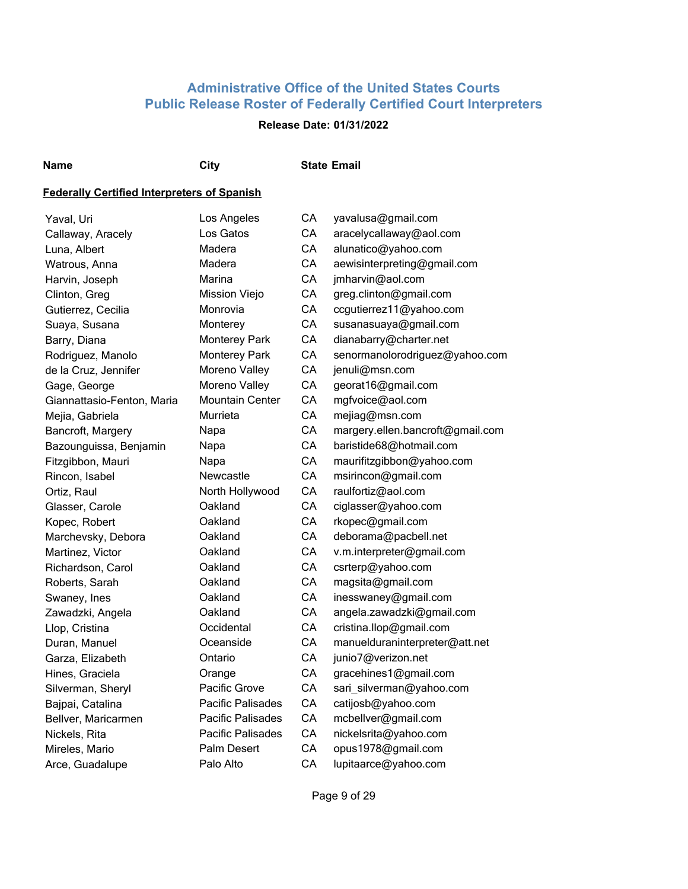## **Release Date: 01/31/2022**

**Name City State Email**

| Yaval, Uri                 | Los Angeles            | CA | yavalusa@gmail.com               |
|----------------------------|------------------------|----|----------------------------------|
| Callaway, Aracely          | Los Gatos              | CA | aracelycallaway@aol.com          |
| Luna, Albert               | Madera                 | CA | alunatico@yahoo.com              |
| Watrous, Anna              | Madera                 | CA | aewisinterpreting@gmail.com      |
| Harvin, Joseph             | Marina                 | CA | jmharvin@aol.com                 |
| Clinton, Greg              | Mission Viejo          | CA | greg.clinton@gmail.com           |
| Gutierrez, Cecilia         | Monrovia               | CA | ccgutierrez11@yahoo.com          |
| Suaya, Susana              | Monterey               | CA | susanasuaya@gmail.com            |
| Barry, Diana               | <b>Monterey Park</b>   | CA | dianabarry@charter.net           |
| Rodriguez, Manolo          | <b>Monterey Park</b>   | CA | senormanolorodriguez@yahoo.com   |
| de la Cruz, Jennifer       | Moreno Valley          | CA | jenuli@msn.com                   |
| Gage, George               | Moreno Valley          | CA | georat16@gmail.com               |
| Giannattasio-Fenton, Maria | <b>Mountain Center</b> | CA | mgfvoice@aol.com                 |
| Mejia, Gabriela            | Murrieta               | CA | mejiag@msn.com                   |
| Bancroft, Margery          | Napa                   | CA | margery.ellen.bancroft@gmail.com |
| Bazounguissa, Benjamin     | Napa                   | CA | baristide68@hotmail.com          |
| Fitzgibbon, Mauri          | Napa                   | CA | maurifitzgibbon@yahoo.com        |
| Rincon, Isabel             | Newcastle              | CA | msirincon@gmail.com              |
| Ortiz, Raul                | North Hollywood        | CA | raulfortiz@aol.com               |
| Glasser, Carole            | Oakland                | CA | ciglasser@yahoo.com              |
| Kopec, Robert              | Oakland                | CA | rkopec@gmail.com                 |
| Marchevsky, Debora         | Oakland                | CA | deborama@pacbell.net             |
| Martinez, Victor           | Oakland                | CA | v.m.interpreter@gmail.com        |
| Richardson, Carol          | Oakland                | CA | csrterp@yahoo.com                |
| Roberts, Sarah             | Oakland                | CA | magsita@gmail.com                |
| Swaney, Ines               | Oakland                | CA | inesswaney@gmail.com             |
| Zawadzki, Angela           | Oakland                | CA | angela.zawadzki@gmail.com        |
| Llop, Cristina             | Occidental             | CA | cristina.llop@gmail.com          |
| Duran, Manuel              | Oceanside              | CA | manuelduraninterpreter@att.net   |
| Garza, Elizabeth           | Ontario                | CA | junio7@verizon.net               |
| Hines, Graciela            | Orange                 | CA | gracehines1@gmail.com            |
| Silverman, Sheryl          | Pacific Grove          | CA | sari_silverman@yahoo.com         |
| Bajpai, Catalina           | Pacific Palisades      | CA | catijosb@yahoo.com               |
| Bellver, Maricarmen        | Pacific Palisades      | CA | mcbellver@gmail.com              |
| Nickels, Rita              | Pacific Palisades      | CA | nickelsrita@yahoo.com            |
| Mireles, Mario             | Palm Desert            | CA | opus1978@gmail.com               |
| Arce, Guadalupe            | Palo Alto              | CA | lupitaarce@yahoo.com             |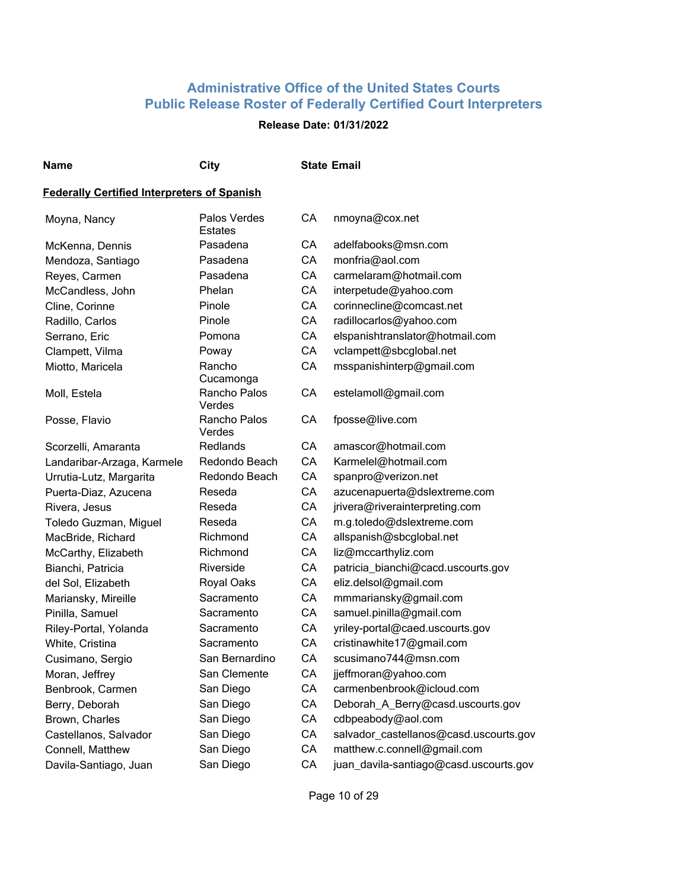#### **Release Date: 01/31/2022**

| ۰.<br>×<br>w |
|--------------|
|--------------|

**Name City State Email**

| Moyna, Nancy               | Palos Verdes<br><b>Estates</b> | CA | nmoyna@cox.net                         |
|----------------------------|--------------------------------|----|----------------------------------------|
| McKenna, Dennis            | Pasadena                       | CA | adelfabooks@msn.com                    |
| Mendoza, Santiago          | Pasadena                       | CA | monfria@aol.com                        |
| Reyes, Carmen              | Pasadena                       | CA | carmelaram@hotmail.com                 |
| McCandless, John           | Phelan                         | CA | interpetude@yahoo.com                  |
| Cline, Corinne             | Pinole                         | CA | corinnecline@comcast.net               |
| Radillo, Carlos            | Pinole                         | CA | radillocarlos@yahoo.com                |
| Serrano, Eric              | Pomona                         | CA | elspanishtranslator@hotmail.com        |
| Clampett, Vilma            | Poway                          | CA | vclampett@sbcglobal.net                |
| Miotto, Maricela           | Rancho<br>Cucamonga            | CA | msspanishinterp@gmail.com              |
| Moll, Estela               | Rancho Palos<br>Verdes         | CA | estelamoll@gmail.com                   |
| Posse, Flavio              | Rancho Palos<br>Verdes         | CA | fposse@live.com                        |
| Scorzelli, Amaranta        | <b>Redlands</b>                | CA | amascor@hotmail.com                    |
| Landaribar-Arzaga, Karmele | Redondo Beach                  | CA | Karmelel@hotmail.com                   |
| Urrutia-Lutz, Margarita    | Redondo Beach                  | CA | spanpro@verizon.net                    |
| Puerta-Diaz, Azucena       | Reseda                         | CA | azucenapuerta@dslextreme.com           |
| Rivera, Jesus              | Reseda                         | CA | jrivera@riverainterpreting.com         |
| Toledo Guzman, Miguel      | Reseda                         | CA | m.g.toledo@dslextreme.com              |
| MacBride, Richard          | Richmond                       | CA | allspanish@sbcglobal.net               |
| McCarthy, Elizabeth        | Richmond                       | CA | liz@mccarthyliz.com                    |
| Bianchi, Patricia          | Riverside                      | CA | patricia_bianchi@cacd.uscourts.gov     |
| del Sol, Elizabeth         | Royal Oaks                     | CA | eliz.delsol@gmail.com                  |
| Mariansky, Mireille        | Sacramento                     | CA | mmmariansky@gmail.com                  |
| Pinilla, Samuel            | Sacramento                     | CA | samuel.pinilla@gmail.com               |
| Riley-Portal, Yolanda      | Sacramento                     | CA | yriley-portal@caed.uscourts.gov        |
| White, Cristina            | Sacramento                     | CA | cristinawhite17@gmail.com              |
| Cusimano, Sergio           | San Bernardino                 | CA | scusimano744@msn.com                   |
| Moran, Jeffrey             | San Clemente                   | CA | jjeffmoran@yahoo.com                   |
| Benbrook, Carmen           | San Diego                      | CA | carmenbenbrook@icloud.com              |
| Berry, Deborah             | San Diego                      | CA | Deborah_A_Berry@casd.uscourts.gov      |
| Brown, Charles             | San Diego                      | CA | cdbpeabody@aol.com                     |
| Castellanos, Salvador      | San Diego                      | CA | salvador_castellanos@casd.uscourts.gov |
| Connell, Matthew           | San Diego                      | CA | matthew.c.connell@gmail.com            |
| Davila-Santiago, Juan      | San Diego                      | CA | juan_davila-santiago@casd.uscourts.gov |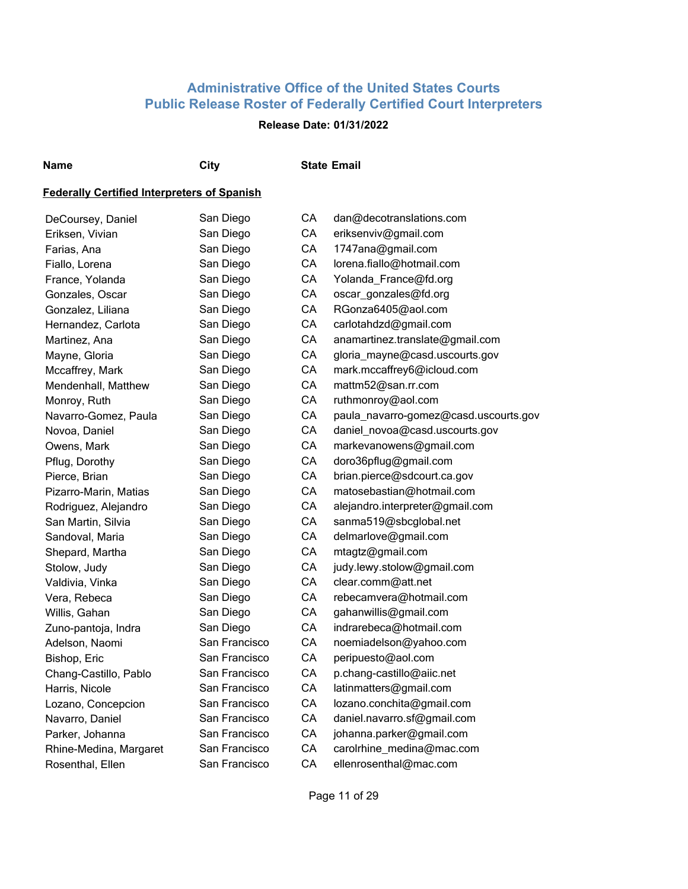## **Release Date: 01/31/2022**

**Name City State Email**

| DeCoursey, Daniel      | San Diego     | СA | dan@decotranslations.com              |
|------------------------|---------------|----|---------------------------------------|
| Eriksen, Vivian        | San Diego     | CA | eriksenviv@gmail.com                  |
| Farias, Ana            | San Diego     | CA | 1747ana@gmail.com                     |
| Fiallo, Lorena         | San Diego     | CA | lorena.fiallo@hotmail.com             |
| France, Yolanda        | San Diego     | CA | Yolanda_France@fd.org                 |
| Gonzales, Oscar        | San Diego     | CA | oscar_gonzales@fd.org                 |
| Gonzalez, Liliana      | San Diego     | CA | RGonza6405@aol.com                    |
| Hernandez, Carlota     | San Diego     | CA | carlotahdzd@gmail.com                 |
| Martinez, Ana          | San Diego     | CA | anamartinez.translate@gmail.com       |
| Mayne, Gloria          | San Diego     | CA | gloria_mayne@casd.uscourts.gov        |
| Mccaffrey, Mark        | San Diego     | CA | mark.mccaffrey6@icloud.com            |
| Mendenhall, Matthew    | San Diego     | CA | mattm52@san.rr.com                    |
| Monroy, Ruth           | San Diego     | CA | ruthmonroy@aol.com                    |
| Navarro-Gomez, Paula   | San Diego     | CA | paula_navarro-gomez@casd.uscourts.gov |
| Novoa, Daniel          | San Diego     | CA | daniel_novoa@casd.uscourts.gov        |
| Owens, Mark            | San Diego     | CA | markevanowens@gmail.com               |
| Pflug, Dorothy         | San Diego     | CA | doro36pflug@gmail.com                 |
| Pierce, Brian          | San Diego     | CA | brian.pierce@sdcourt.ca.gov           |
| Pizarro-Marin, Matias  | San Diego     | CA | matosebastian@hotmail.com             |
| Rodriguez, Alejandro   | San Diego     | CA | alejandro.interpreter@gmail.com       |
| San Martin, Silvia     | San Diego     | CA | sanma519@sbcglobal.net                |
| Sandoval, Maria        | San Diego     | CA | delmarlove@gmail.com                  |
| Shepard, Martha        | San Diego     | CA | mtagtz@gmail.com                      |
| Stolow, Judy           | San Diego     | CA | judy.lewy.stolow@gmail.com            |
| Valdivia, Vinka        | San Diego     | CA | clear.comm@att.net                    |
| Vera, Rebeca           | San Diego     | CA | rebecamvera@hotmail.com               |
| Willis, Gahan          | San Diego     | CA | gahanwillis@gmail.com                 |
| Zuno-pantoja, Indra    | San Diego     | CA | indrarebeca@hotmail.com               |
| Adelson, Naomi         | San Francisco | CA | noemiadelson@yahoo.com                |
| Bishop, Eric           | San Francisco | CA | peripuesto@aol.com                    |
| Chang-Castillo, Pablo  | San Francisco | CA | p.chang-castillo@aiic.net             |
| Harris, Nicole         | San Francisco | CA | latinmatters@gmail.com                |
| Lozano, Concepcion     | San Francisco | CA | lozano.conchita@gmail.com             |
| Navarro, Daniel        | San Francisco | CA | daniel.navarro.sf@gmail.com           |
| Parker, Johanna        | San Francisco | CA | johanna.parker@gmail.com              |
| Rhine-Medina, Margaret | San Francisco | CA | carolrhine_medina@mac.com             |
| Rosenthal, Ellen       | San Francisco | CA | ellenrosenthal@mac.com                |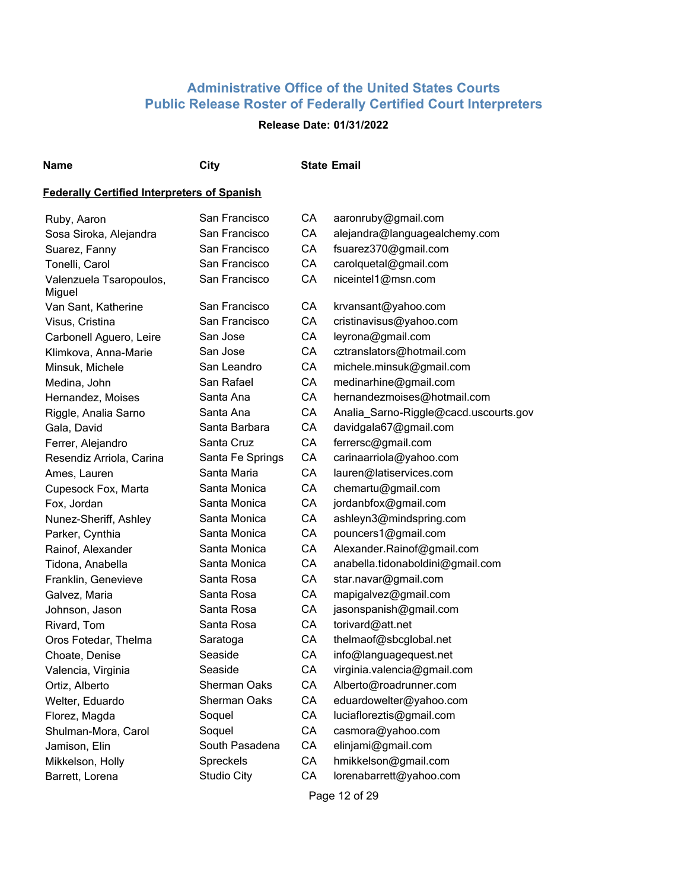## **Release Date: 01/31/2022**

#### **Name City State Email**

#### **Federally Certified Interpreters of Spanish**

| Ruby, Aaron              | San Francisco       | CА | aaronruby@gmail.com                   |
|--------------------------|---------------------|----|---------------------------------------|
| Sosa Siroka, Alejandra   | San Francisco       | CA | alejandra@languagealchemy.com         |
| Suarez, Fanny            | San Francisco       | CA | fsuarez370@gmail.com                  |
| Tonelli, Carol           | San Francisco       | CA | carolquetal@gmail.com                 |
| Valenzuela Tsaropoulos,  | San Francisco       | CA | niceintel1@msn.com                    |
| Miguel                   |                     |    |                                       |
| Van Sant, Katherine      | San Francisco       | CA | krvansant@yahoo.com                   |
| Visus, Cristina          | San Francisco       | CA | cristinavisus@yahoo.com               |
| Carbonell Aguero, Leire  | San Jose            | CA | leyrona@gmail.com                     |
| Klimkova, Anna-Marie     | San Jose            | CA | cztranslators@hotmail.com             |
| Minsuk, Michele          | San Leandro         | СA | michele.minsuk@gmail.com              |
| Medina, John             | San Rafael          | CA | medinarhine@gmail.com                 |
| Hernandez, Moises        | Santa Ana           | CA | hernandezmoises@hotmail.com           |
| Riggle, Analia Sarno     | Santa Ana           | CA | Analia_Sarno-Riggle@cacd.uscourts.gov |
| Gala, David              | Santa Barbara       | CA | davidgala67@gmail.com                 |
| Ferrer, Alejandro        | Santa Cruz          | СA | ferrersc@gmail.com                    |
| Resendiz Arriola, Carina | Santa Fe Springs    | CA | carinaarriola@yahoo.com               |
| Ames, Lauren             | Santa Maria         | CA | lauren@latiservices.com               |
| Cupesock Fox, Marta      | Santa Monica        | CA | chemartu@gmail.com                    |
| Fox, Jordan              | Santa Monica        | CA | jordanbfox@gmail.com                  |
| Nunez-Sheriff, Ashley    | Santa Monica        | CA | ashleyn3@mindspring.com               |
| Parker, Cynthia          | Santa Monica        | СA | pouncers1@gmail.com                   |
| Rainof, Alexander        | Santa Monica        | CA | Alexander.Rainof@gmail.com            |
| Tidona, Anabella         | Santa Monica        | СA | anabella.tidonaboldini@gmail.com      |
| Franklin, Genevieve      | Santa Rosa          | СA | star.navar@gmail.com                  |
| Galvez, Maria            | Santa Rosa          | CA | mapigalvez@gmail.com                  |
| Johnson, Jason           | Santa Rosa          | CA | jasonspanish@gmail.com                |
| Rivard, Tom              | Santa Rosa          | CA | torivard@att.net                      |
| Oros Fotedar, Thelma     | Saratoga            | СA | thelmaof@sbcglobal.net                |
| Choate, Denise           | Seaside             | СA | info@languagequest.net                |
| Valencia, Virginia       | Seaside             | CA | virginia.valencia@gmail.com           |
| Ortiz, Alberto           | Sherman Oaks        | CA | Alberto@roadrunner.com                |
| Welter, Eduardo          | <b>Sherman Oaks</b> | CA | eduardowelter@yahoo.com               |
| Florez, Magda            | Soquel              | CA | luciafloreztis@gmail.com              |
| Shulman-Mora, Carol      | Soquel              | СA | casmora@yahoo.com                     |
| Jamison, Elin            | South Pasadena      | СA | elinjami@gmail.com                    |
| Mikkelson, Holly         | Spreckels           | СA | hmikkelson@gmail.com                  |
| Barrett, Lorena          | <b>Studio City</b>  | CA | lorenabarrett@yahoo.com               |
|                          |                     |    |                                       |

Page 12 of 29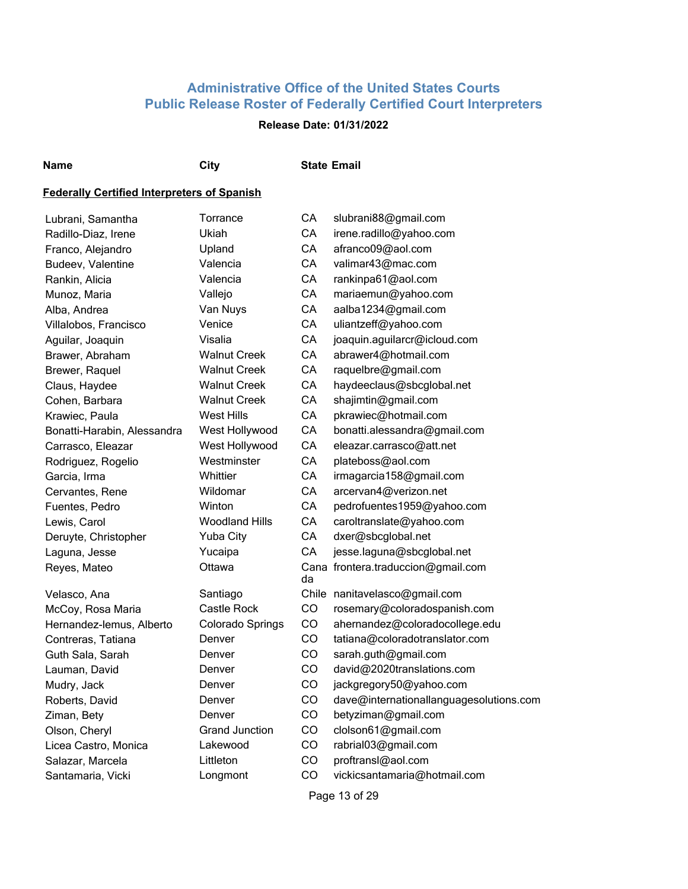## **Release Date: 01/31/2022**

## **Name City State Email**

#### **Federally Certified Interpreters of Spanish**

| Lubrani, Samantha           | Torrance              | CA        | slubrani88@gmail.com                    |
|-----------------------------|-----------------------|-----------|-----------------------------------------|
| Radillo-Diaz, Irene         | Ukiah                 | CA        | irene.radillo@yahoo.com                 |
| Franco, Alejandro           | Upland                | CA        | afranco09@aol.com                       |
| Budeev, Valentine           | Valencia              | CA        | valimar43@mac.com                       |
| Rankin, Alicia              | Valencia              | CA        | rankinpa61@aol.com                      |
| Munoz, Maria                | Vallejo               | CA        | mariaemun@yahoo.com                     |
| Alba, Andrea                | Van Nuys              | CA        | aalba1234@gmail.com                     |
| Villalobos, Francisco       | Venice                | CA        | uliantzeff@yahoo.com                    |
| Aguilar, Joaquin            | Visalia               | CA        | joaquin.aguilarcr@icloud.com            |
| Brawer, Abraham             | <b>Walnut Creek</b>   | CA        | abrawer4@hotmail.com                    |
| Brewer, Raquel              | <b>Walnut Creek</b>   | CA        | raquelbre@gmail.com                     |
| Claus, Haydee               | <b>Walnut Creek</b>   | CA        | haydeeclaus@sbcglobal.net               |
| Cohen, Barbara              | <b>Walnut Creek</b>   | CA        | shajimtin@gmail.com                     |
| Krawiec, Paula              | West Hills            | CA        | pkrawiec@hotmail.com                    |
| Bonatti-Harabin, Alessandra | West Hollywood        | CA        | bonatti.alessandra@gmail.com            |
| Carrasco, Eleazar           | West Hollywood        | CA        | eleazar.carrasco@att.net                |
| Rodriguez, Rogelio          | Westminster           | CA        | plateboss@aol.com                       |
| Garcia, Irma                | Whittier              | CA        | irmagarcia158@gmail.com                 |
| Cervantes, Rene             | Wildomar              | CA        | arcervan4@verizon.net                   |
| Fuentes, Pedro              | Winton                | CA        | pedrofuentes1959@yahoo.com              |
| Lewis, Carol                | <b>Woodland Hills</b> | CA        | caroltranslate@yahoo.com                |
| Deruyte, Christopher        | <b>Yuba City</b>      | CA        | dxer@sbcglobal.net                      |
| Laguna, Jesse               | Yucaipa               | CA        | jesse.laguna@sbcglobal.net              |
| Reyes, Mateo                | Ottawa                | da        | Cana frontera.traduccion@gmail.com      |
| Velasco, Ana                | Santiago              |           | Chile nanitavelasco@gmail.com           |
| McCoy, Rosa Maria           | Castle Rock           | CO        | rosemary@coloradospanish.com            |
| Hernandez-lemus, Alberto    | Colorado Springs      | CO        | ahernandez@coloradocollege.edu          |
| Contreras, Tatiana          | Denver                | CO        | tatiana@coloradotranslator.com          |
| Guth Sala, Sarah            | Denver                | CO        | sarah.guth@gmail.com                    |
| Lauman, David               | Denver                | CO        | david@2020translations.com              |
| Mudry, Jack                 | Denver                | CO        | jackgregory50@yahoo.com                 |
| Roberts, David              | Denver                | CO        | dave@internationallanguagesolutions.com |
| Ziman, Bety                 | Denver                | <b>CO</b> | betyziman@gmail.com                     |
| Olson, Cheryl               | <b>Grand Junction</b> | CO        | clolson61@gmail.com                     |
| Licea Castro, Monica        | Lakewood              | <b>CO</b> | rabrial03@gmail.com                     |
| Salazar, Marcela            | Littleton             | CO        | proftransl@aol.com                      |
| Santamaria, Vicki           | Longmont              | CO        | vickicsantamaria@hotmail.com            |
|                             |                       |           |                                         |

Page 13 of 29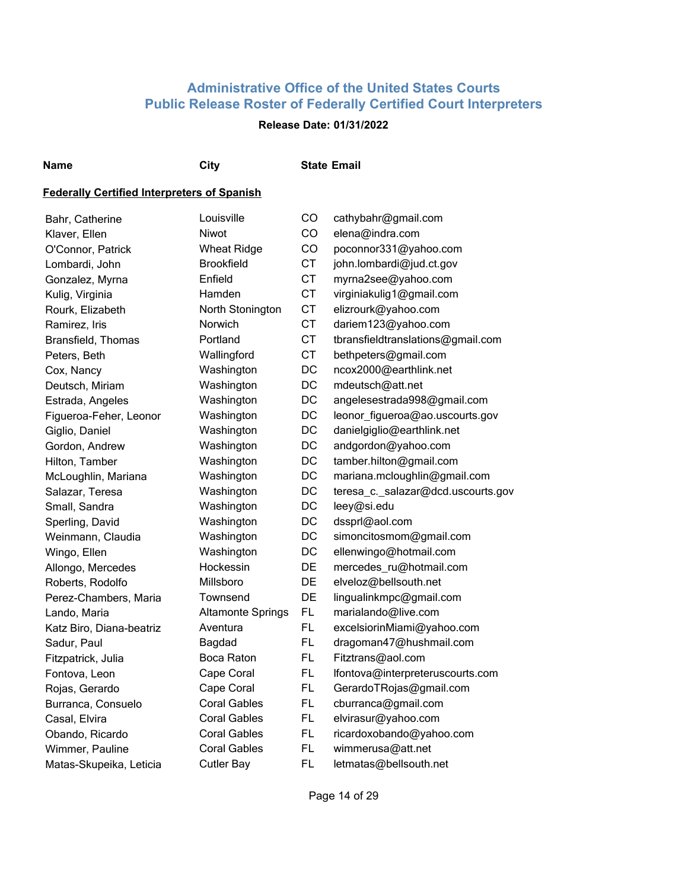## **Release Date: 01/31/2022**

#### **Name City State Email**

| Bahr, Catherine          | Louisville               | CO        | cathybahr@gmail.com                |
|--------------------------|--------------------------|-----------|------------------------------------|
| Klaver, Ellen            | Niwot                    | CO        | elena@indra.com                    |
| O'Connor, Patrick        | <b>Wheat Ridge</b>       | CO        | poconnor331@yahoo.com              |
| Lombardi, John           | <b>Brookfield</b>        | <b>CT</b> | john.lombardi@jud.ct.gov           |
| Gonzalez, Myrna          | Enfield                  | <b>CT</b> | myrna2see@yahoo.com                |
| Kulig, Virginia          | Hamden                   | <b>CT</b> | virginiakulig1@gmail.com           |
| Rourk, Elizabeth         | North Stonington         | <b>CT</b> | elizrourk@yahoo.com                |
| Ramirez, Iris            | Norwich                  | <b>CT</b> | dariem123@yahoo.com                |
| Bransfield, Thomas       | Portland                 | <b>CT</b> | tbransfieldtranslations@gmail.com  |
| Peters, Beth             | Wallingford              | <b>CT</b> | bethpeters@gmail.com               |
| Cox, Nancy               | Washington               | DC        | ncox2000@earthlink.net             |
| Deutsch, Miriam          | Washington               | DC        | mdeutsch@att.net                   |
| Estrada, Angeles         | Washington               | DC        | angelesestrada998@gmail.com        |
| Figueroa-Feher, Leonor   | Washington               | DC        | leonor_figueroa@ao.uscourts.gov    |
| Giglio, Daniel           | Washington               | DC        | danielgiglio@earthlink.net         |
| Gordon, Andrew           | Washington               | DC        | andgordon@yahoo.com                |
| Hilton, Tamber           | Washington               | DC        | tamber.hilton@gmail.com            |
| McLoughlin, Mariana      | Washington               | DC        | mariana.mcloughlin@gmail.com       |
| Salazar, Teresa          | Washington               | DC        | teresa_c._salazar@dcd.uscourts.gov |
| Small, Sandra            | Washington               | DC        | leey@si.edu                        |
| Sperling, David          | Washington               | DC        | dssprl@aol.com                     |
| Weinmann, Claudia        | Washington               | DC        | simoncitosmom@gmail.com            |
| Wingo, Ellen             | Washington               | DC        | ellenwingo@hotmail.com             |
| Allongo, Mercedes        | Hockessin                | DE        | mercedes_ru@hotmail.com            |
| Roberts, Rodolfo         | Millsboro                | DE        | elveloz@bellsouth.net              |
| Perez-Chambers, Maria    | Townsend                 | DE        | lingualinkmpc@gmail.com            |
| Lando, Maria             | <b>Altamonte Springs</b> | FL.       | marialando@live.com                |
| Katz Biro, Diana-beatriz | Aventura                 | FL.       | excelsiorinMiami@yahoo.com         |
| Sadur, Paul              | Bagdad                   | FL.       | dragoman47@hushmail.com            |
| Fitzpatrick, Julia       | Boca Raton               | FL.       | Fitztrans@aol.com                  |
| Fontova, Leon            | Cape Coral               | FL.       | lfontova@interpreteruscourts.com   |
| Rojas, Gerardo           | Cape Coral               | FL.       | GerardoTRojas@gmail.com            |
| Burranca, Consuelo       | <b>Coral Gables</b>      | FL.       | cburranca@gmail.com                |
| Casal, Elvira            | <b>Coral Gables</b>      | FL.       | elvirasur@yahoo.com                |
| Obando, Ricardo          | Coral Gables             | FL        | ricardoxobando@yahoo.com           |
| Wimmer, Pauline          | <b>Coral Gables</b>      | FL.       | wimmerusa@att.net                  |
| Matas-Skupeika, Leticia  | <b>Cutler Bay</b>        | <b>FL</b> | letmatas@bellsouth.net             |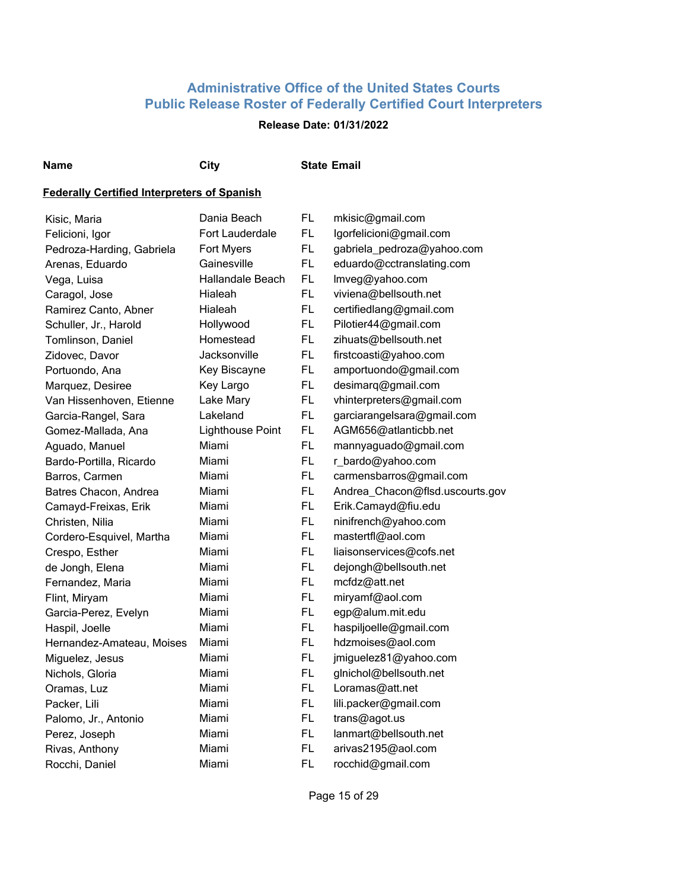## **Release Date: 01/31/2022**

#### **Name City State Email**

| Kisic, Maria              | Dania Beach             | FL        | mkisic@gmail.com                |
|---------------------------|-------------------------|-----------|---------------------------------|
| Felicioni, Igor           | Fort Lauderdale         | FL        | lgorfelicioni@gmail.com         |
| Pedroza-Harding, Gabriela | Fort Myers              | FL        | gabriela_pedroza@yahoo.com      |
| Arenas, Eduardo           | Gainesville             | <b>FL</b> | eduardo@cctranslating.com       |
| Vega, Luisa               | Hallandale Beach        | FL        | Imveg@yahoo.com                 |
| Caragol, Jose             | Hialeah                 | <b>FL</b> | viviena@bellsouth.net           |
| Ramirez Canto, Abner      | <b>Hialeah</b>          | <b>FL</b> | certifiedlang@gmail.com         |
| Schuller, Jr., Harold     | Hollywood               | <b>FL</b> | Pilotier44@gmail.com            |
| Tomlinson, Daniel         | Homestead               | <b>FL</b> | zihuats@bellsouth.net           |
| Zidovec, Davor            | Jacksonville            | <b>FL</b> | firstcoasti@yahoo.com           |
| Portuondo, Ana            | Key Biscayne            | FL.       | amportuondo@gmail.com           |
| Marquez, Desiree          | Key Largo               | FL.       | desimarq@gmail.com              |
| Van Hissenhoven, Etienne  | Lake Mary               | FL.       | vhinterpreters@gmail.com        |
| Garcia-Rangel, Sara       | Lakeland                | FL.       | garciarangelsara@gmail.com      |
| Gomez-Mallada, Ana        | <b>Lighthouse Point</b> | <b>FL</b> | AGM656@atlanticbb.net           |
| Aguado, Manuel            | Miami                   | FL.       | mannyaguado@gmail.com           |
| Bardo-Portilla, Ricardo   | Miami                   | <b>FL</b> | r_bardo@yahoo.com               |
| Barros, Carmen            | Miami                   | FL.       | carmensbarros@gmail.com         |
| Batres Chacon, Andrea     | Miami                   | <b>FL</b> | Andrea_Chacon@flsd.uscourts.gov |
| Camayd-Freixas, Erik      | Miami                   | FL        | Erik.Camayd@fiu.edu             |
| Christen, Nilia           | Miami                   | FL        | ninifrench@yahoo.com            |
| Cordero-Esquivel, Martha  | Miami                   | FL.       | mastertfl@aol.com               |
| Crespo, Esther            | Miami                   | FL        | liaisonservices@cofs.net        |
| de Jongh, Elena           | Miami                   | <b>FL</b> | dejongh@bellsouth.net           |
| Fernandez, Maria          | Miami                   | FL.       | mcfdz@att.net                   |
| Flint, Miryam             | Miami                   | <b>FL</b> | miryamf@aol.com                 |
| Garcia-Perez, Evelyn      | Miami                   | FL.       | egp@alum.mit.edu                |
| Haspil, Joelle            | Miami                   | FL.       | haspiljoelle@gmail.com          |
| Hernandez-Amateau, Moises | Miami                   | FL.       | hdzmoises@aol.com               |
| Miguelez, Jesus           | Miami                   | FL.       | jmiguelez81@yahoo.com           |
| Nichols, Gloria           | Miami                   | FL.       | glnichol@bellsouth.net          |
| Oramas, Luz               | Miami                   | FL.       | Loramas@att.net                 |
| Packer, Lili              | Miami                   | FL.       | lili.packer@gmail.com           |
| Palomo, Jr., Antonio      | Miami                   | FL        | trans@agot.us                   |
| Perez, Joseph             | Miami                   | FL.       | lanmart@bellsouth.net           |
| Rivas, Anthony            | Miami                   | FL        | arivas2195@aol.com              |
| Rocchi, Daniel            | Miami                   | FL        | rocchid@gmail.com               |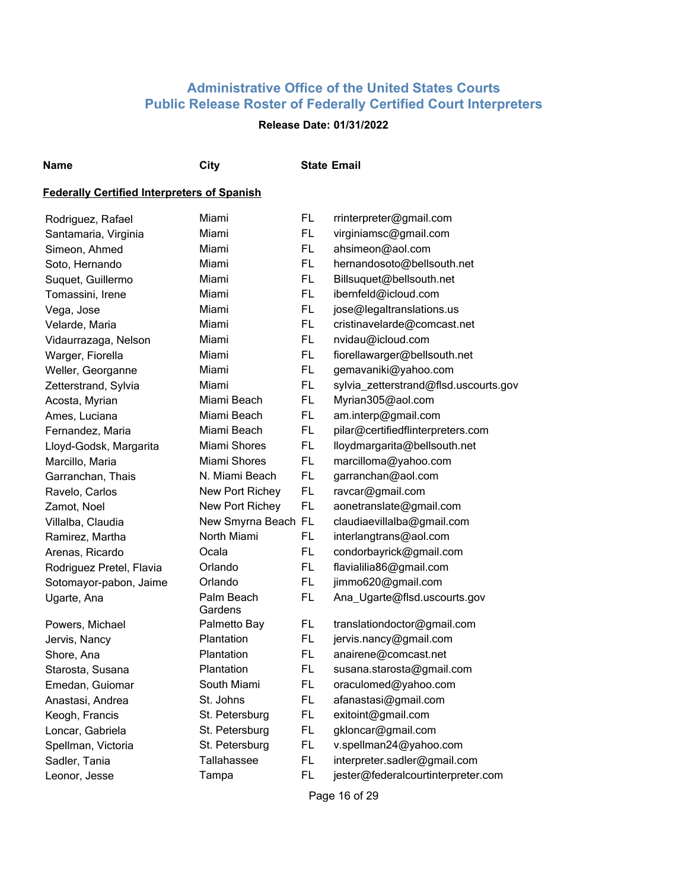## **Release Date: 01/31/2022**

**Name City State Email**

#### **Federally Certified Interpreters of Spanish**

| Rodriguez, Rafael        | Miami                 | FL        | rrinterpreter@gmail.com               |
|--------------------------|-----------------------|-----------|---------------------------------------|
| Santamaria, Virginia     | Miami                 | FL        | virginiamsc@gmail.com                 |
| Simeon, Ahmed            | Miami                 | FL        | ahsimeon@aol.com                      |
| Soto, Hernando           | Miami                 | FL        | hernandosoto@bellsouth.net            |
| Suquet, Guillermo        | Miami                 | FL        | Billsuquet@bellsouth.net              |
| Tomassini, Irene         | Miami                 | FL        | ibernfeld@icloud.com                  |
| Vega, Jose               | Miami                 | FL        | jose@legaltranslations.us             |
| Velarde, Maria           | Miami                 | FL        | cristinavelarde@comcast.net           |
| Vidaurrazaga, Nelson     | Miami                 | FL        | nvidau@icloud.com                     |
| Warger, Fiorella         | Miami                 | <b>FL</b> | fiorellawarger@bellsouth.net          |
| Weller, Georganne        | Miami                 | FL        | gemavaniki@yahoo.com                  |
| Zetterstrand, Sylvia     | Miami                 | FL        | sylvia_zetterstrand@flsd.uscourts.gov |
| Acosta, Myrian           | Miami Beach           | FL.       | Myrian305@aol.com                     |
| Ames, Luciana            | Miami Beach           | <b>FL</b> | am.interp@gmail.com                   |
| Fernandez, Maria         | Miami Beach           | <b>FL</b> | pilar@certifiedflinterpreters.com     |
| Lloyd-Godsk, Margarita   | Miami Shores          | <b>FL</b> | lloydmargarita@bellsouth.net          |
| Marcillo, Maria          | Miami Shores          | <b>FL</b> | marcilloma@yahoo.com                  |
| Garranchan, Thais        | N. Miami Beach        | <b>FL</b> | garranchan@aol.com                    |
| Ravelo, Carlos           | New Port Richey       | FL        | ravcar@gmail.com                      |
| Zamot, Noel              | New Port Richey       | FL.       | aonetranslate@gmail.com               |
| Villalba, Claudia        | New Smyrna Beach FL   |           | claudiaevillalba@gmail.com            |
| Ramirez, Martha          | North Miami           | <b>FL</b> | interlangtrans@aol.com                |
| Arenas, Ricardo          | Ocala                 | FL        | condorbayrick@gmail.com               |
| Rodriguez Pretel, Flavia | Orlando               | FL        | flavialilia86@gmail.com               |
| Sotomayor-pabon, Jaime   | Orlando               | FL        | jimmo620@gmail.com                    |
| Ugarte, Ana              | Palm Beach<br>Gardens | FL.       | Ana_Ugarte@flsd.uscourts.gov          |
| Powers, Michael          | Palmetto Bay          | FL        | translationdoctor@gmail.com           |
| Jervis, Nancy            | Plantation            | FL        | jervis.nancy@gmail.com                |
| Shore, Ana               | Plantation            | FL.       | anairene@comcast.net                  |
| Starosta, Susana         | Plantation            | FL        | susana.starosta@gmail.com             |
| Emedan, Guiomar          | South Miami           | FL        | oraculomed@yahoo.com                  |
| Anastasi, Andrea         | St. Johns             | FL        | afanastasi@gmail.com                  |
| Keogh, Francis           | St. Petersburg        | FL.       | exitoint@gmail.com                    |
| Loncar, Gabriela         | St. Petersburg        | FL.       | gkloncar@gmail.com                    |
| Spellman, Victoria       | St. Petersburg        | FL.       | v.spellman24@yahoo.com                |
| Sadler, Tania            | Tallahassee           | FL        | interpreter.sadler@gmail.com          |
| Leonor, Jesse            | Tampa                 | <b>FL</b> | jester@federalcourtinterpreter.com    |

Page 16 of 29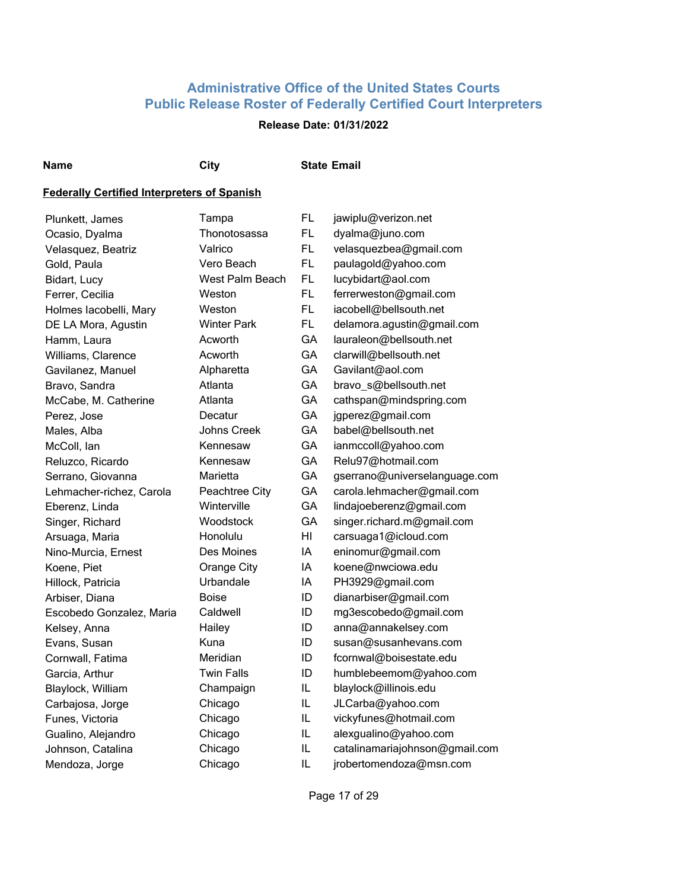## **Release Date: 01/31/2022**

#### **Name City State Email**

| Plunkett, James          | Tampa              | FL        | jawiplu@verizon.net            |
|--------------------------|--------------------|-----------|--------------------------------|
| Ocasio, Dyalma           | Thonotosassa       | <b>FL</b> | dyalma@juno.com                |
| Velasquez, Beatriz       | Valrico            | FL.       | velasquezbea@gmail.com         |
| Gold, Paula              | Vero Beach         | <b>FL</b> | paulagold@yahoo.com            |
| Bidart, Lucy             | West Palm Beach    | FL.       | lucybidart@aol.com             |
| Ferrer, Cecilia          | Weston             | <b>FL</b> | ferrerweston@gmail.com         |
| Holmes lacobelli, Mary   | Weston             | FL.       | iacobell@bellsouth.net         |
| DE LA Mora, Agustin      | <b>Winter Park</b> | FL.       | delamora.agustin@gmail.com     |
| Hamm, Laura              | Acworth            | GA        | lauraleon@bellsouth.net        |
| Williams, Clarence       | Acworth            | GA        | clarwill@bellsouth.net         |
| Gavilanez, Manuel        | Alpharetta         | GA        | Gavilant@aol.com               |
| Bravo, Sandra            | Atlanta            | GA        | bravo_s@bellsouth.net          |
| McCabe, M. Catherine     | Atlanta            | GA        | cathspan@mindspring.com        |
| Perez, Jose              | Decatur            | GA        | jgperez@gmail.com              |
| Males, Alba              | Johns Creek        | GA        | babel@bellsouth.net            |
| McColl, lan              | Kennesaw           | GA        | ianmccoll@yahoo.com            |
| Reluzco, Ricardo         | Kennesaw           | GA        | Relu97@hotmail.com             |
| Serrano, Giovanna        | Marietta           | GA        | gserrano@universelanguage.com  |
| Lehmacher-richez, Carola | Peachtree City     | GA        | carola.lehmacher@gmail.com     |
| Eberenz, Linda           | Winterville        | GA        | lindajoeberenz@gmail.com       |
| Singer, Richard          | Woodstock          | GA        | singer.richard.m@gmail.com     |
| Arsuaga, Maria           | Honolulu           | ΗI        | carsuaga1@icloud.com           |
| Nino-Murcia, Ernest      | Des Moines         | IA        | eninomur@gmail.com             |
| Koene, Piet              | Orange City        | IA        | koene@nwciowa.edu              |
| Hillock, Patricia        | Urbandale          | IA        | PH3929@gmail.com               |
| Arbiser, Diana           | <b>Boise</b>       | ID        | dianarbiser@gmail.com          |
| Escobedo Gonzalez, Maria | Caldwell           | ID        | mg3escobedo@gmail.com          |
| Kelsey, Anna             | Hailey             | ID        | anna@annakelsey.com            |
| Evans, Susan             | Kuna               | ID        | susan@susanhevans.com          |
| Cornwall, Fatima         | Meridian           | ID        | fcornwal@boisestate.edu        |
| Garcia, Arthur           | <b>Twin Falls</b>  | ID        | humblebeemom@yahoo.com         |
| Blaylock, William        | Champaign          | IL.       | blaylock@illinois.edu          |
| Carbajosa, Jorge         | Chicago            | IL        | JLCarba@yahoo.com              |
| Funes, Victoria          | Chicago            | IL        | vickyfunes@hotmail.com         |
| Gualino, Alejandro       | Chicago            | IL        | alexgualino@yahoo.com          |
| Johnson, Catalina        | Chicago            | IL        | catalinamariajohnson@gmail.com |
| Mendoza, Jorge           | Chicago            | IL        | jrobertomendoza@msn.com        |
|                          |                    |           |                                |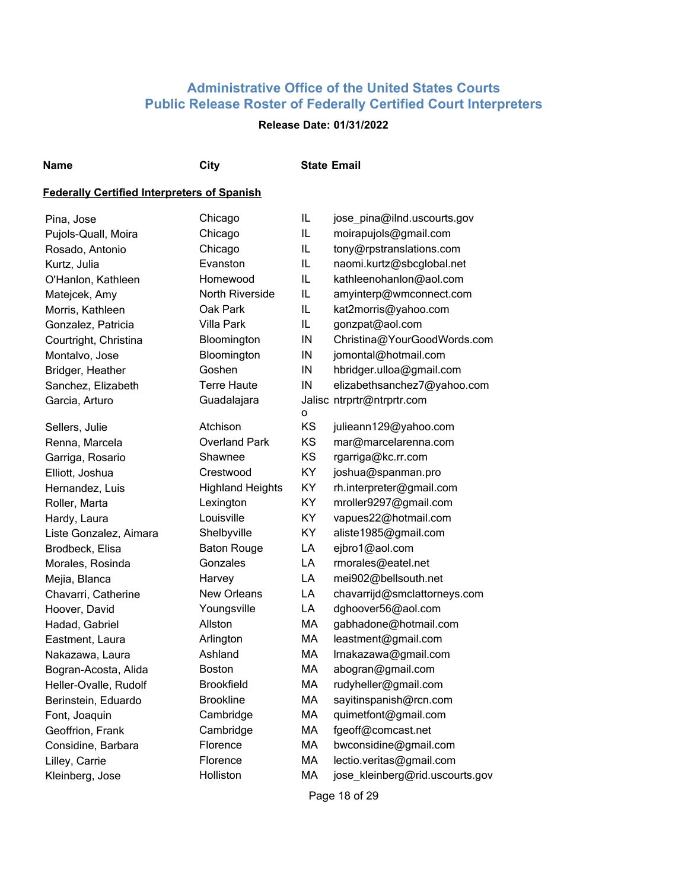## **Release Date: 01/31/2022**

#### **Name City State Email**

| Pina, Jose             | Chicago                 | IL       | jose_pina@ilnd.uscourts.gov     |
|------------------------|-------------------------|----------|---------------------------------|
| Pujols-Quall, Moira    | Chicago                 | IL       | moirapujols@gmail.com           |
| Rosado, Antonio        | Chicago                 | IL.      | tony@rpstranslations.com        |
| Kurtz, Julia           | Evanston                | IL.      | naomi.kurtz@sbcglobal.net       |
| O'Hanlon, Kathleen     | Homewood                | IL       | kathleenohanlon@aol.com         |
| Matejcek, Amy          | <b>North Riverside</b>  | IL       | amyinterp@wmconnect.com         |
| Morris, Kathleen       | Oak Park                | IL       | kat2morris@yahoo.com            |
| Gonzalez, Patricia     | Villa Park              | IL       | gonzpat@aol.com                 |
| Courtright, Christina  | Bloomington             | $\sf IN$ | Christina@YourGoodWords.com     |
| Montalvo, Jose         | Bloomington             | IN       | jomontal@hotmail.com            |
| Bridger, Heather       | Goshen                  | IN       | hbridger.ulloa@gmail.com        |
| Sanchez, Elizabeth     | <b>Terre Haute</b>      | IN       | elizabethsanchez7@yahoo.com     |
| Garcia, Arturo         | Guadalajara             | o        | Jalisc ntrprtr@ntrprtr.com      |
| Sellers, Julie         | Atchison                | KS       | julieann129@yahoo.com           |
| Renna, Marcela         | <b>Overland Park</b>    | KS       | mar@marcelarenna.com            |
| Garriga, Rosario       | Shawnee                 | KS       | rgarriga@kc.rr.com              |
| Elliott, Joshua        | Crestwood               | KY       | joshua@spanman.pro              |
| Hernandez, Luis        | <b>Highland Heights</b> | KY       | rh.interpreter@gmail.com        |
| Roller, Marta          | Lexington               | KY       | mroller9297@gmail.com           |
| Hardy, Laura           | Louisville              | KY       | vapues22@hotmail.com            |
| Liste Gonzalez, Aimara | Shelbyville             | KY       | aliste1985@gmail.com            |
| Brodbeck, Elisa        | <b>Baton Rouge</b>      | LA       | ejbro1@aol.com                  |
| Morales, Rosinda       | Gonzales                | LA       | rmorales@eatel.net              |
| Mejia, Blanca          | Harvey                  | LA       | mei902@bellsouth.net            |
| Chavarri, Catherine    | <b>New Orleans</b>      | LA       | chavarrijd@smclattorneys.com    |
| Hoover, David          | Youngsville             | LA       | dghoover56@aol.com              |
| Hadad, Gabriel         | Allston                 | MA       | gabhadone@hotmail.com           |
| Eastment, Laura        | Arlington               | MA       | leastment@gmail.com             |
| Nakazawa, Laura        | Ashland                 | MA       | Irnakazawa@gmail.com            |
| Bogran-Acosta, Alida   | <b>Boston</b>           | MA       | abogran@gmail.com               |
| Heller-Ovalle, Rudolf  | <b>Brookfield</b>       | MA       | rudyheller@gmail.com            |
| Berinstein, Eduardo    | <b>Brookline</b>        | MA       | sayitinspanish@rcn.com          |
| Font, Joaquin          | Cambridge               | MA       | quimetfont@gmail.com            |
| Geoffrion, Frank       | Cambridge               | MA       | fgeoff@comcast.net              |
| Considine, Barbara     | Florence                | МA       | bwconsidine@gmail.com           |
| Lilley, Carrie         | Florence                | МA       | lectio.veritas@gmail.com        |
| Kleinberg, Jose        | Holliston               | MA       | jose_kleinberg@rid.uscourts.gov |
|                        |                         |          | Page 18 of 29                   |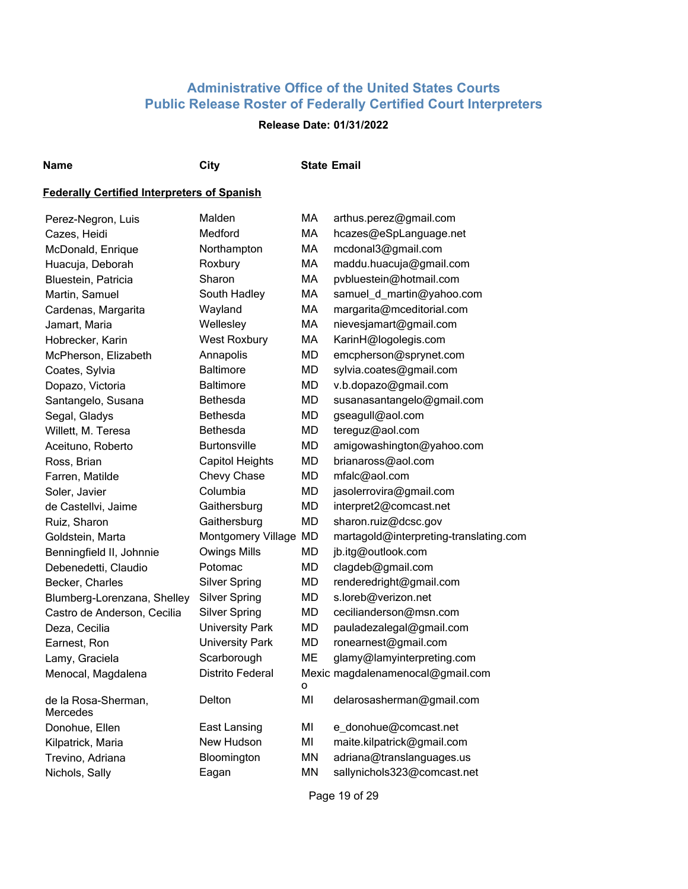## **Release Date: 01/31/2022**

#### **Name City State Email**

#### **Federally Certified Interpreters of Spanish**

| Perez-Negron, Luis              | Malden                  | MA        | arthus.perez@gmail.com                 |
|---------------------------------|-------------------------|-----------|----------------------------------------|
| Cazes, Heidi                    | Medford                 | MA        | hcazes@eSpLanguage.net                 |
| McDonald, Enrique               | Northampton             | MA        | mcdonal3@gmail.com                     |
| Huacuja, Deborah                | Roxbury                 | MA        | maddu.huacuja@gmail.com                |
| Bluestein, Patricia             | Sharon                  | MA        | pvbluestein@hotmail.com                |
| Martin, Samuel                  | South Hadley            | MA        | samuel_d_martin@yahoo.com              |
| Cardenas, Margarita             | Wayland                 | MA        | margarita@mceditorial.com              |
| Jamart, Maria                   | Wellesley               | MA        | nievesjamart@gmail.com                 |
| Hobrecker, Karin                | West Roxbury            | MA        | KarinH@logolegis.com                   |
| McPherson, Elizabeth            | Annapolis               | <b>MD</b> | emcpherson@sprynet.com                 |
| Coates, Sylvia                  | <b>Baltimore</b>        | <b>MD</b> | sylvia.coates@gmail.com                |
| Dopazo, Victoria                | <b>Baltimore</b>        | <b>MD</b> | v.b.dopazo@gmail.com                   |
| Santangelo, Susana              | <b>Bethesda</b>         | <b>MD</b> | susanasantangelo@gmail.com             |
| Segal, Gladys                   | <b>Bethesda</b>         | <b>MD</b> | gseagull@aol.com                       |
| Willett, M. Teresa              | <b>Bethesda</b>         | <b>MD</b> | tereguz@aol.com                        |
| Aceituno, Roberto               | <b>Burtonsville</b>     | MD        | amigowashington@yahoo.com              |
| Ross, Brian                     | <b>Capitol Heights</b>  | MD        | brianaross@aol.com                     |
| Farren, Matilde                 | Chevy Chase             | MD        | mfalc@aol.com                          |
| Soler, Javier                   | Columbia                | <b>MD</b> | jasolerrovira@gmail.com                |
| de Castellvi, Jaime             | Gaithersburg            | <b>MD</b> | interpret2@comcast.net                 |
| Ruiz, Sharon                    | Gaithersburg            | <b>MD</b> | sharon.ruiz@dcsc.gov                   |
| Goldstein, Marta                | Montgomery Village MD   |           | martagold@interpreting-translating.com |
| Benningfield II, Johnnie        | <b>Owings Mills</b>     | <b>MD</b> | jb.itg@outlook.com                     |
| Debenedetti, Claudio            | Potomac                 | <b>MD</b> | clagdeb@gmail.com                      |
| Becker, Charles                 | <b>Silver Spring</b>    | <b>MD</b> | renderedright@gmail.com                |
| Blumberg-Lorenzana, Shelley     | <b>Silver Spring</b>    | <b>MD</b> | s.loreb@verizon.net                    |
| Castro de Anderson, Cecilia     | <b>Silver Spring</b>    | <b>MD</b> | cecilianderson@msn.com                 |
| Deza, Cecilia                   | <b>University Park</b>  | <b>MD</b> | pauladezalegal@gmail.com               |
| Earnest, Ron                    | <b>University Park</b>  | <b>MD</b> | ronearnest@gmail.com                   |
| Lamy, Graciela                  | Scarborough             | ME        | glamy@lamyinterpreting.com             |
| Menocal, Magdalena              | <b>Distrito Federal</b> |           | Mexic magdalenamenocal@gmail.com       |
|                                 |                         | o         |                                        |
| de la Rosa-Sherman,<br>Mercedes | Delton                  | MI        | delarosasherman@gmail.com              |
| Donohue, Ellen                  | East Lansing            | MI        | e_donohue@comcast.net                  |
| Kilpatrick, Maria               | New Hudson              | MI        | maite.kilpatrick@gmail.com             |
| Trevino, Adriana                | Bloomington             | <b>MN</b> | adriana@translanguages.us              |
| Nichols, Sally                  | Eagan                   | <b>MN</b> | sallynichols323@comcast.net            |

Page 19 of 29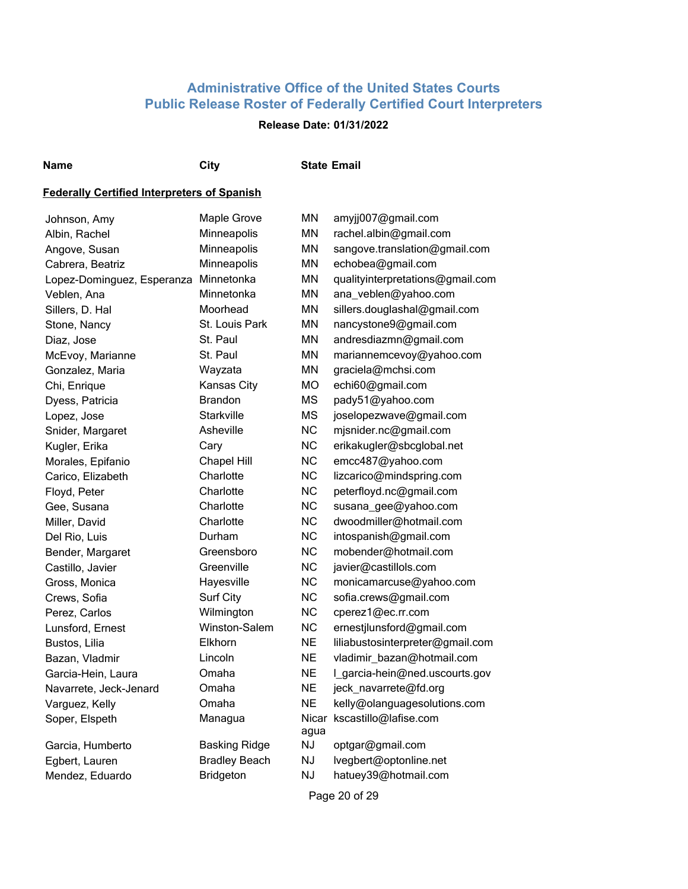## **Release Date: 01/31/2022**

#### **Name City State Email**

| Johnson, Amy               | Maple Grove          | ΜN            | amyjj007@gmail.com               |
|----------------------------|----------------------|---------------|----------------------------------|
| Albin, Rachel              | Minneapolis          | MN            | rachel.albin@gmail.com           |
| Angove, Susan              | Minneapolis          | MN            | sangove.translation@gmail.com    |
| Cabrera, Beatriz           | Minneapolis          | MN            | echobea@gmail.com                |
| Lopez-Dominguez, Esperanza | Minnetonka           | MN            | qualityinterpretations@gmail.com |
| Veblen, Ana                | Minnetonka           | <b>MN</b>     | ana_veblen@yahoo.com             |
| Sillers, D. Hal            | Moorhead             | <b>MN</b>     | sillers.douglashal@gmail.com     |
| Stone, Nancy               | St. Louis Park       | MN            | nancystone9@gmail.com            |
| Diaz, Jose                 | St. Paul             | MN            | andresdiazmn@gmail.com           |
| McEvoy, Marianne           | St. Paul             | <b>MN</b>     | mariannemcevoy@yahoo.com         |
| Gonzalez, Maria            | Wayzata              | MN            | graciela@mchsi.com               |
| Chi, Enrique               | Kansas City          | МO            | echi60@gmail.com                 |
| Dyess, Patricia            | <b>Brandon</b>       | <b>MS</b>     | pady51@yahoo.com                 |
| Lopez, Jose                | <b>Starkville</b>    | <b>MS</b>     | joselopezwave@gmail.com          |
| Snider, Margaret           | Asheville            | <b>NC</b>     | mjsnider.nc@gmail.com            |
| Kugler, Erika              | Cary                 | <b>NC</b>     | erikakugler@sbcglobal.net        |
| Morales, Epifanio          | Chapel Hill          | <b>NC</b>     | emcc487@yahoo.com                |
| Carico, Elizabeth          | Charlotte            | <b>NC</b>     | lizcarico@mindspring.com         |
| Floyd, Peter               | Charlotte            | <b>NC</b>     | peterfloyd.nc@gmail.com          |
| Gee, Susana                | Charlotte            | <b>NC</b>     | susana_gee@yahoo.com             |
| Miller, David              | Charlotte            | <b>NC</b>     | dwoodmiller@hotmail.com          |
| Del Rio, Luis              | Durham               | <b>NC</b>     | intospanish@gmail.com            |
| Bender, Margaret           | Greensboro           | <b>NC</b>     | mobender@hotmail.com             |
| Castillo, Javier           | Greenville           | <b>NC</b>     | javier@castillols.com            |
| Gross, Monica              | Hayesville           | <b>NC</b>     | monicamarcuse@yahoo.com          |
| Crews, Sofia               | Surf City            | <b>NC</b>     | sofia.crews@gmail.com            |
| Perez, Carlos              | Wilmington           | <b>NC</b>     | cperez1@ec.rr.com                |
| Lunsford, Ernest           | Winston-Salem        | <b>NC</b>     | ernestjlunsford@gmail.com        |
| Bustos, Lilia              | Elkhorn              | <b>NE</b>     | liliabustosinterpreter@gmail.com |
| Bazan, Vladmir             | Lincoln              | <b>NE</b>     | vladimir_bazan@hotmail.com       |
| Garcia-Hein, Laura         | Omaha                | <b>NE</b>     | I_garcia-hein@ned.uscourts.gov   |
| Navarrete, Jeck-Jenard     | Omaha                | <b>NE</b>     | jeck_navarrete@fd.org            |
| Varguez, Kelly             | Omaha                | NE.           | kelly@olanguagesolutions.com     |
| Soper, Elspeth             | Managua              | Nicar<br>agua | kscastillo@lafise.com            |
| Garcia, Humberto           | <b>Basking Ridge</b> | NJ            | optgar@gmail.com                 |
| Egbert, Lauren             | <b>Bradley Beach</b> | <b>NJ</b>     | lvegbert@optonline.net           |
| Mendez, Eduardo            | <b>Bridgeton</b>     | <b>NJ</b>     | hatuey39@hotmail.com             |
|                            |                      |               | Page 20 of 29                    |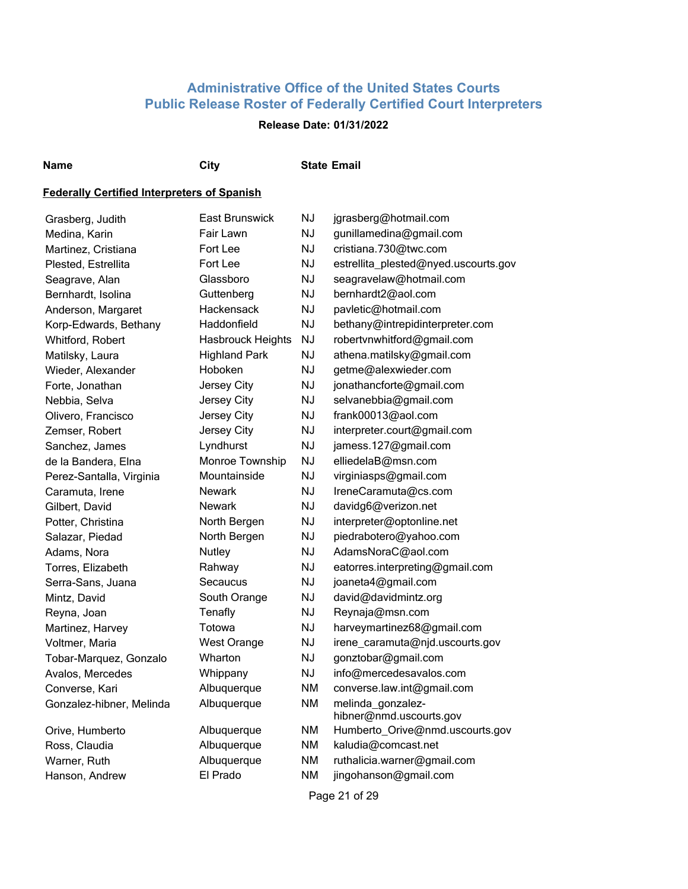## **Release Date: 01/31/2022**

**Name City State Email**

#### **Federally Certified Interpreters of Spanish**

| Grasberg, Judith         | East Brunswick           | <b>NJ</b> | jgrasberg@hotmail.com                        |
|--------------------------|--------------------------|-----------|----------------------------------------------|
| Medina, Karin            | Fair Lawn                | <b>NJ</b> | gunillamedina@gmail.com                      |
| Martinez, Cristiana      | Fort Lee                 | <b>NJ</b> | cristiana.730@twc.com                        |
| Plested, Estrellita      | Fort Lee                 | <b>NJ</b> | estrellita_plested@nyed.uscourts.gov         |
| Seagrave, Alan           | Glassboro                | <b>NJ</b> | seagravelaw@hotmail.com                      |
| Bernhardt, Isolina       | Guttenberg               | <b>NJ</b> | bernhardt2@aol.com                           |
| Anderson, Margaret       | Hackensack               | <b>NJ</b> | pavletic@hotmail.com                         |
| Korp-Edwards, Bethany    | Haddonfield              | <b>NJ</b> | bethany@intrepidinterpreter.com              |
| Whitford, Robert         | <b>Hasbrouck Heights</b> | <b>NJ</b> | robertvnwhitford@gmail.com                   |
| Matilsky, Laura          | <b>Highland Park</b>     | <b>NJ</b> | athena.matilsky@gmail.com                    |
| Wieder, Alexander        | Hoboken                  | NJ        | getme@alexwieder.com                         |
| Forte, Jonathan          | Jersey City              | <b>NJ</b> | jonathancforte@gmail.com                     |
| Nebbia, Selva            | Jersey City              | <b>NJ</b> | selvanebbia@gmail.com                        |
| Olivero, Francisco       | Jersey City              | <b>NJ</b> | frank00013@aol.com                           |
| Zemser, Robert           | Jersey City              | <b>NJ</b> | interpreter.court@gmail.com                  |
| Sanchez, James           | Lyndhurst                | <b>NJ</b> | jamess.127@gmail.com                         |
| de la Bandera, Elna      | Monroe Township          | <b>NJ</b> | elliedelaB@msn.com                           |
| Perez-Santalla, Virginia | Mountainside             | <b>NJ</b> | virginiasps@gmail.com                        |
| Caramuta, Irene          | <b>Newark</b>            | NJ        | IreneCaramuta@cs.com                         |
| Gilbert, David           | <b>Newark</b>            | <b>NJ</b> | davidg6@verizon.net                          |
| Potter, Christina        | North Bergen             | <b>NJ</b> | interpreter@optonline.net                    |
| Salazar, Piedad          | North Bergen             | <b>NJ</b> | piedrabotero@yahoo.com                       |
| Adams, Nora              | Nutley                   | <b>NJ</b> | AdamsNoraC@aol.com                           |
| Torres, Elizabeth        | Rahway                   | <b>NJ</b> | eatorres.interpreting@gmail.com              |
| Serra-Sans, Juana        | Secaucus                 | <b>NJ</b> | joaneta4@gmail.com                           |
| Mintz, David             | South Orange             | <b>NJ</b> | david@davidmintz.org                         |
| Reyna, Joan              | Tenafly                  | <b>NJ</b> | Reynaja@msn.com                              |
| Martinez, Harvey         | Totowa                   | <b>NJ</b> | harveymartinez68@gmail.com                   |
| Voltmer, Maria           | <b>West Orange</b>       | <b>NJ</b> | irene_caramuta@njd.uscourts.gov              |
| Tobar-Marquez, Gonzalo   | Wharton                  | <b>NJ</b> | gonztobar@gmail.com                          |
| Avalos, Mercedes         | Whippany                 | <b>NJ</b> | info@mercedesavalos.com                      |
| Converse, Kari           | Albuquerque              | <b>NM</b> | converse.law.int@gmail.com                   |
| Gonzalez-hibner, Melinda | Albuquerque              | <b>NM</b> | melinda_gonzalez-<br>hibner@nmd.uscourts.gov |
| Orive, Humberto          | Albuquerque              | <b>NM</b> | Humberto_Orive@nmd.uscourts.gov              |
| Ross, Claudia            | Albuquerque              | <b>NM</b> | kaludia@comcast.net                          |
| Warner, Ruth             | Albuquerque              | <b>NM</b> | ruthalicia.warner@gmail.com                  |
| Hanson, Andrew           | El Prado                 | <b>NM</b> | jingohanson@gmail.com                        |
|                          |                          |           |                                              |

Page 21 of 29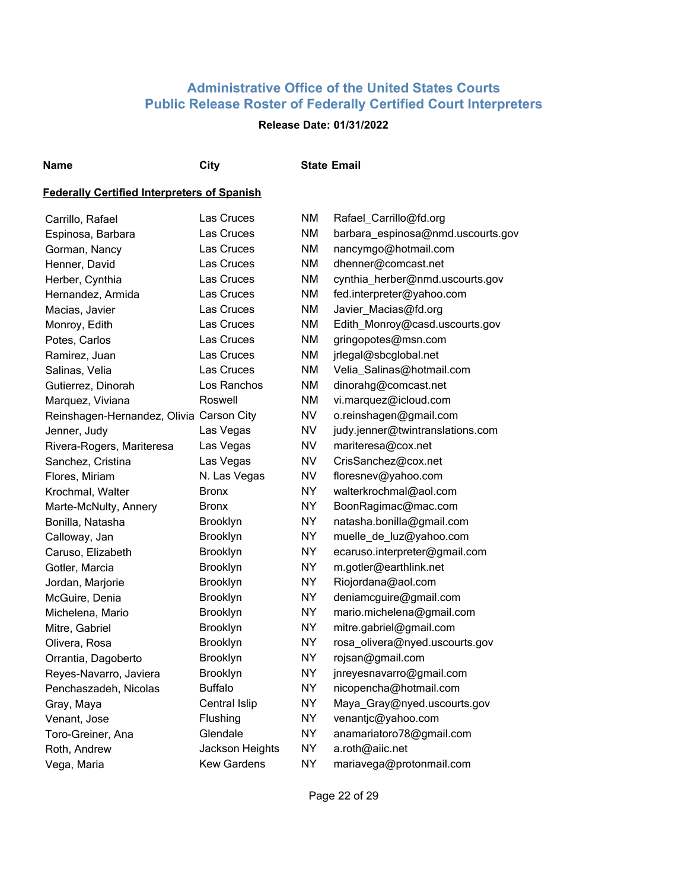## **Release Date: 01/31/2022**

**Name City State Email**

| Carrillo, Rafael                         | Las Cruces         | ΝM        | Rafael_Carrillo@fd.org            |
|------------------------------------------|--------------------|-----------|-----------------------------------|
| Espinosa, Barbara                        | Las Cruces         | <b>NM</b> | barbara_espinosa@nmd.uscourts.gov |
| Gorman, Nancy                            | Las Cruces         | ΝM        | nancymgo@hotmail.com              |
| Henner, David                            | Las Cruces         | NM        | dhenner@comcast.net               |
| Herber, Cynthia                          | Las Cruces         | ΝM        | cynthia_herber@nmd.uscourts.gov   |
| Hernandez, Armida                        | Las Cruces         | <b>NM</b> | fed.interpreter@yahoo.com         |
| Macias, Javier                           | Las Cruces         | <b>NM</b> | Javier_Macias@fd.org              |
| Monroy, Edith                            | Las Cruces         | ΝM        | Edith_Monroy@casd.uscourts.gov    |
| Potes, Carlos                            | Las Cruces         | ΝM        | gringopotes@msn.com               |
| Ramirez, Juan                            | Las Cruces         | ΝM        | jrlegal@sbcglobal.net             |
| Salinas, Velia                           | Las Cruces         | ΝM        | Velia_Salinas@hotmail.com         |
| Gutierrez, Dinorah                       | Los Ranchos        | ΝM        | dinorahg@comcast.net              |
| Marquez, Viviana                         | Roswell            | ΝM        | vi.marquez@icloud.com             |
| Reinshagen-Hernandez, Olivia Carson City |                    | NV.       | o.reinshagen@gmail.com            |
| Jenner, Judy                             | Las Vegas          | NV        | judy.jenner@twintranslations.com  |
| Rivera-Rogers, Mariteresa                | Las Vegas          | NV        | mariteresa@cox.net                |
| Sanchez, Cristina                        | Las Vegas          | NV        | CrisSanchez@cox.net               |
| Flores, Miriam                           | N. Las Vegas       | NV        | floresnev@yahoo.com               |
| Krochmal, Walter                         | Bronx              | <b>NY</b> | walterkrochmal@aol.com            |
| Marte-McNulty, Annery                    | <b>Bronx</b>       | <b>NY</b> | BoonRagimac@mac.com               |
| Bonilla, Natasha                         | Brooklyn           | <b>NY</b> | natasha.bonilla@gmail.com         |
| Calloway, Jan                            | Brooklyn           | <b>NY</b> | muelle de luz@yahoo.com           |
| Caruso, Elizabeth                        | Brooklyn           | <b>NY</b> | ecaruso.interpreter@gmail.com     |
| Gotler, Marcia                           | Brooklyn           | ΝY        | m.gotler@earthlink.net            |
| Jordan, Marjorie                         | Brooklyn           | ΝY        | Riojordana@aol.com                |
| McGuire, Denia                           | Brooklyn           | ΝY        | deniamcguire@gmail.com            |
| Michelena, Mario                         | <b>Brooklyn</b>    | ΝY        | mario.michelena@gmail.com         |
| Mitre, Gabriel                           | <b>Brooklyn</b>    | ΝY        | mitre.gabriel@gmail.com           |
| Olivera, Rosa                            | <b>Brooklyn</b>    | ΝY        | rosa_olivera@nyed.uscourts.gov    |
| Orrantia, Dagoberto                      | <b>Brooklyn</b>    | ΝY        | rojsan@gmail.com                  |
| Reyes-Navarro, Javiera                   | Brooklyn           | NY.       | jnreyesnavarro@gmail.com          |
| Penchaszadeh, Nicolas                    | <b>Buffalo</b>     | <b>NY</b> | nicopencha@hotmail.com            |
| Gray, Maya                               | Central Islip      | NY.       | Maya_Gray@nyed.uscourts.gov       |
| Venant, Jose                             | Flushing           | <b>NY</b> | venantjc@yahoo.com                |
| Toro-Greiner, Ana                        | Glendale           | <b>NY</b> | anamariatoro78@gmail.com          |
| Roth, Andrew                             | Jackson Heights    | <b>NY</b> | a.roth@aiic.net                   |
| Vega, Maria                              | <b>Kew Gardens</b> | <b>NY</b> | mariavega@protonmail.com          |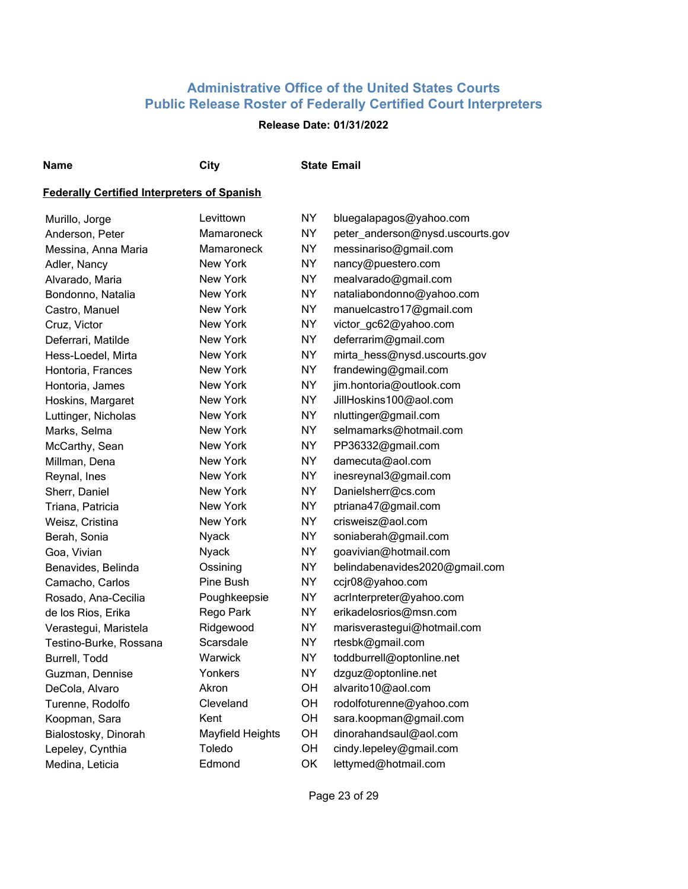## **Release Date: 01/31/2022**

**Name City State Email**

| Murillo, Jorge         | Levittown        | NY        | bluegalapagos@yahoo.com          |
|------------------------|------------------|-----------|----------------------------------|
| Anderson, Peter        | Mamaroneck       | <b>NY</b> | peter_anderson@nysd.uscourts.gov |
| Messina, Anna Maria    | Mamaroneck       | <b>NY</b> | messinariso@gmail.com            |
| Adler, Nancy           | New York         | NY.       | nancy@puestero.com               |
| Alvarado, Maria        | New York         | <b>NY</b> | mealvarado@gmail.com             |
| Bondonno, Natalia      | New York         | NY.       | nataliabondonno@yahoo.com        |
| Castro, Manuel         | <b>New York</b>  | <b>NY</b> | manuelcastro17@gmail.com         |
| Cruz, Victor           | New York         | <b>NY</b> | victor_gc62@yahoo.com            |
| Deferrari, Matilde     | <b>New York</b>  | NY.       | deferrarim@gmail.com             |
| Hess-Loedel, Mirta     | New York         | <b>NY</b> | mirta_hess@nysd.uscourts.gov     |
| Hontoria, Frances      | New York         | NY.       | frandewing@gmail.com             |
| Hontoria, James        | New York         | <b>NY</b> | jim.hontoria@outlook.com         |
| Hoskins, Margaret      | New York         | <b>NY</b> | JillHoskins100@aol.com           |
| Luttinger, Nicholas    | New York         | <b>NY</b> | nluttinger@gmail.com             |
| Marks, Selma           | New York         | <b>NY</b> | selmamarks@hotmail.com           |
| McCarthy, Sean         | New York         | <b>NY</b> | PP36332@gmail.com                |
| Millman, Dena          | New York         | <b>NY</b> | damecuta@aol.com                 |
| Reynal, Ines           | New York         | <b>NY</b> | inesreynal3@gmail.com            |
| Sherr, Daniel          | <b>New York</b>  | <b>NY</b> | Danielsherr@cs.com               |
| Triana, Patricia       | New York         | <b>NY</b> | ptriana47@gmail.com              |
| Weisz, Cristina        | New York         | <b>NY</b> | crisweisz@aol.com                |
| Berah, Sonia           | Nyack            | <b>NY</b> | soniaberah@gmail.com             |
| Goa, Vivian            | Nyack            | <b>NY</b> | goavivian@hotmail.com            |
| Benavides, Belinda     | Ossining         | <b>NY</b> | belindabenavides2020@gmail.com   |
| Camacho, Carlos        | Pine Bush        | <b>NY</b> | ccjr08@yahoo.com                 |
| Rosado, Ana-Cecilia    | Poughkeepsie     | <b>NY</b> | acrInterpreter@yahoo.com         |
| de los Rios, Erika     | Rego Park        | <b>NY</b> | erikadelosrios@msn.com           |
| Verastegui, Maristela  | Ridgewood        | NY.       | marisverastegui@hotmail.com      |
| Testino-Burke, Rossana | Scarsdale        | NY.       | rtesbk@gmail.com                 |
| Burrell, Todd          | Warwick          | NY.       | toddburrell@optonline.net        |
| Guzman, Dennise        | Yonkers          | NY.       | dzguz@optonline.net              |
| DeCola, Alvaro         | Akron            | OH        | alvarito10@aol.com               |
| Turenne, Rodolfo       | Cleveland        | OH        | rodolfoturenne@yahoo.com         |
| Koopman, Sara          | Kent             | OH        | sara.koopman@gmail.com           |
| Bialostosky, Dinorah   | Mayfield Heights | OH        | dinorahandsaul@aol.com           |
| Lepeley, Cynthia       | Toledo           | OH        | cindy.lepeley@gmail.com          |
| Medina, Leticia        | Edmond           | OK        | lettymed@hotmail.com             |
|                        |                  |           |                                  |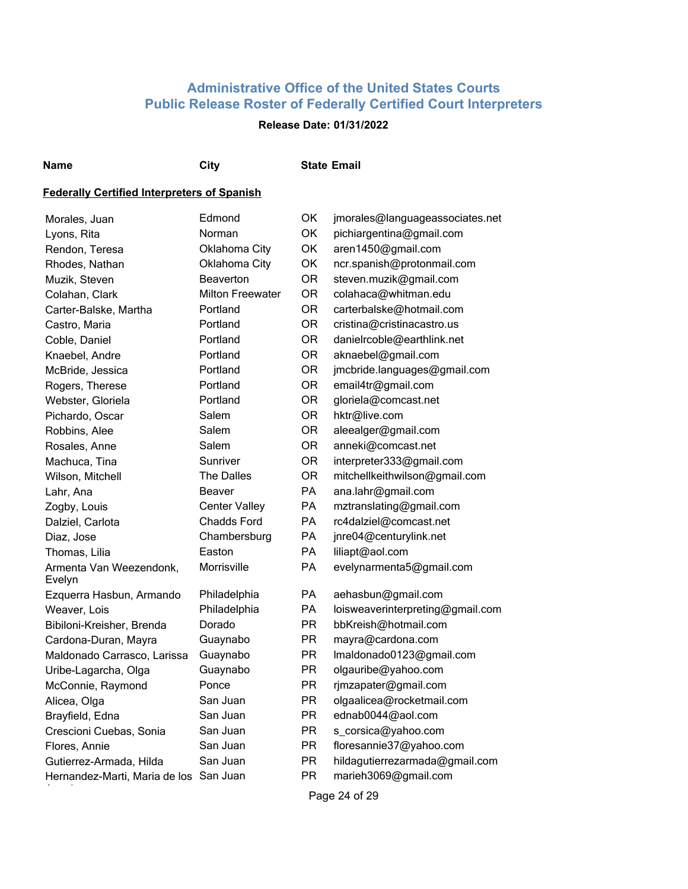## **Release Date: 01/31/2022**

#### **Name City State Email**

#### **Federally Certified Interpreters of Spanish**

| Morales, Juan                          | Edmond                  | OK             | jmorales@languageassociates.net  |
|----------------------------------------|-------------------------|----------------|----------------------------------|
| Lyons, Rita                            | Norman                  | OK             | pichiargentina@gmail.com         |
| Rendon, Teresa                         | Oklahoma City           | OK             | aren1450@gmail.com               |
| Rhodes, Nathan                         | Oklahoma City           | OK             | ncr.spanish@protonmail.com       |
| Muzik, Steven                          | Beaverton               | <b>OR</b>      | steven.muzik@gmail.com           |
| Colahan, Clark                         | <b>Milton Freewater</b> | <b>OR</b>      | colahaca@whitman.edu             |
| Carter-Balske, Martha                  | Portland                | <b>OR</b>      | carterbalske@hotmail.com         |
| Castro, Maria                          | Portland                | <b>OR</b>      | cristina@cristinacastro.us       |
| Coble, Daniel                          | Portland                | <b>OR</b>      | danielrcoble@earthlink.net       |
| Knaebel, Andre                         | Portland                | <b>OR</b>      | aknaebel@gmail.com               |
| McBride, Jessica                       | Portland                | <b>OR</b>      | jmcbride.languages@gmail.com     |
| Rogers, Therese                        | Portland                | <b>OR</b>      | email4tr@gmail.com               |
| Webster, Gloriela                      | Portland                | <b>OR</b>      | gloriela@comcast.net             |
| Pichardo, Oscar                        | Salem                   | <b>OR</b>      | hktr@live.com                    |
| Robbins, Alee                          | Salem                   | <b>OR</b>      | aleealger@gmail.com              |
| Rosales, Anne                          | Salem                   | <b>OR</b>      | anneki@comcast.net               |
| Machuca, Tina                          | Sunriver                | <b>OR</b>      | interpreter333@gmail.com         |
| Wilson, Mitchell                       | The Dalles              | <b>OR</b>      | mitchellkeithwilson@gmail.com    |
| Lahr, Ana                              | Beaver                  | PA             | ana.lahr@gmail.com               |
| Zogby, Louis                           | <b>Center Valley</b>    | PA             | mztranslating@gmail.com          |
| Dalziel, Carlota                       | <b>Chadds Ford</b>      | PA             | rc4dalziel@comcast.net           |
| Diaz, Jose                             | Chambersburg            | PA             | jnre04@centurylink.net           |
| Thomas, Lilia                          | Easton                  | <b>PA</b>      | liliapt@aol.com                  |
| Armenta Van Weezendonk,<br>Evelyn      | Morrisville             | PA             | evelynarmenta5@gmail.com         |
| Ezquerra Hasbun, Armando               | Philadelphia            | PA             | aehasbun@gmail.com               |
| Weaver, Lois                           | Philadelphia            | PA             | loisweaverinterpreting@gmail.com |
| Bibiloni-Kreisher, Brenda              | Dorado                  | PR             | bbKreish@hotmail.com             |
| Cardona-Duran, Mayra                   | Guaynabo                | <b>PR</b>      | mayra@cardona.com                |
| Maldonado Carrasco, Larissa            | Guaynabo                | <b>PR</b>      | Imaldonado0123@gmail.com         |
| Uribe-Lagarcha, Olga                   | Guaynabo                | <b>PR</b>      | olgauribe@yahoo.com              |
| McConnie, Raymond                      | Ponce                   | <b>PR</b>      | rjmzapater@gmail.com             |
| Alicea, Olga                           | San Juan                | <b>PR</b>      | olgaalicea@rocketmail.com        |
| Brayfield, Edna                        | San Juan                | <b>PR</b>      | ednab0044@aol.com                |
| Crescioni Cuebas, Sonia                | San Juan                | <b>PR</b>      | s_corsica@yahoo.com              |
| Flores, Annie                          | San Juan                | PR             | floresannie37@yahoo.com          |
| Gutierrez-Armada, Hilda                | San Juan                | <b>PR</b>      | hildagutierrezarmada@gmail.com   |
| Hernandez-Marti, Maria de los San Juan |                         | <b>PR</b>      | marieh3069@gmail.com             |
|                                        |                         | $\blacksquare$ | 0.4.500                          |

Page 24 of 29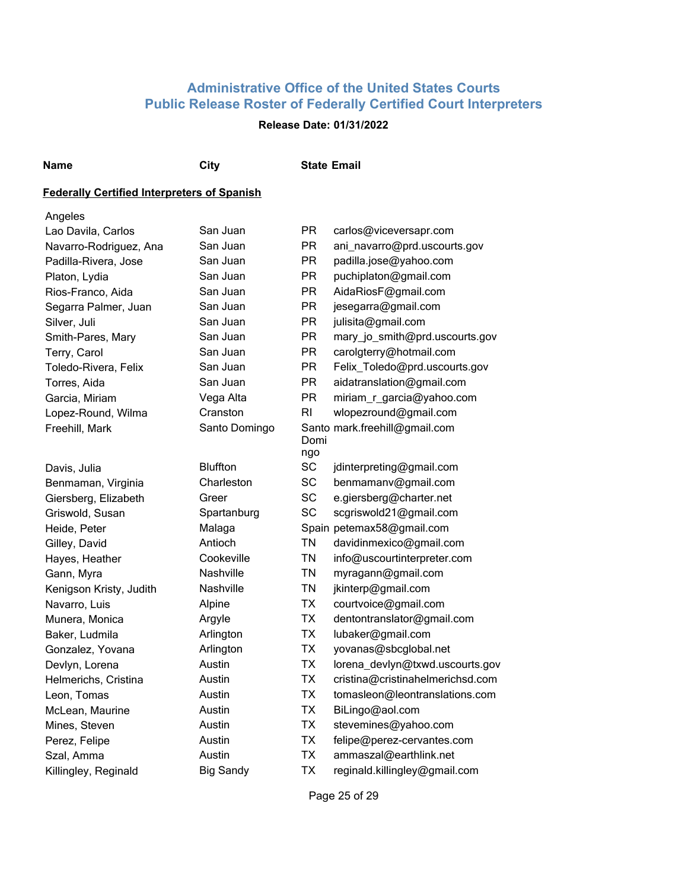## **Release Date: 01/31/2022**

**Name City State Email**

## **Federally Certified Interpreters of Spanish**

| Angeles                 |                  |             |                                  |
|-------------------------|------------------|-------------|----------------------------------|
| Lao Davila, Carlos      | San Juan         | <b>PR</b>   | carlos@viceversapr.com           |
| Navarro-Rodriguez, Ana  | San Juan         | <b>PR</b>   | ani_navarro@prd.uscourts.gov     |
| Padilla-Rivera, Jose    | San Juan         | <b>PR</b>   | padilla.jose@yahoo.com           |
| Platon, Lydia           | San Juan         | <b>PR</b>   | puchiplaton@gmail.com            |
| Rios-Franco, Aida       | San Juan         | <b>PR</b>   | AidaRiosF@gmail.com              |
| Segarra Palmer, Juan    | San Juan         | <b>PR</b>   | jesegarra@gmail.com              |
| Silver, Juli            | San Juan         | <b>PR</b>   | julisita@gmail.com               |
| Smith-Pares, Mary       | San Juan         | <b>PR</b>   | mary_jo_smith@prd.uscourts.gov   |
| Terry, Carol            | San Juan         | <b>PR</b>   | carolgterry@hotmail.com          |
| Toledo-Rivera, Felix    | San Juan         | <b>PR</b>   | Felix_Toledo@prd.uscourts.gov    |
| Torres, Aida            | San Juan         | <b>PR</b>   | aidatranslation@gmail.com        |
| Garcia, Miriam          | Vega Alta        | <b>PR</b>   | miriam_r_garcia@yahoo.com        |
| Lopez-Round, Wilma      | Cranston         | <b>RI</b>   | wlopezround@gmail.com            |
| Freehill, Mark          | Santo Domingo    | Domi<br>ngo | Santo mark.freehill@gmail.com    |
| Davis, Julia            | <b>Bluffton</b>  | SC          | jdinterpreting@gmail.com         |
| Benmaman, Virginia      | Charleston       | <b>SC</b>   | benmamanv@gmail.com              |
| Giersberg, Elizabeth    | Greer            | <b>SC</b>   | e.giersberg@charter.net          |
| Griswold, Susan         | Spartanburg      | <b>SC</b>   | scgriswold21@gmail.com           |
| Heide, Peter            | Malaga           |             | Spain petemax58@gmail.com        |
| Gilley, David           | Antioch          | <b>TN</b>   | davidinmexico@gmail.com          |
| Hayes, Heather          | Cookeville       | <b>TN</b>   | info@uscourtinterpreter.com      |
| Gann, Myra              | Nashville        | <b>TN</b>   | myragann@gmail.com               |
| Kenigson Kristy, Judith | Nashville        | <b>TN</b>   | jkinterp@gmail.com               |
| Navarro, Luis           | Alpine           | <b>TX</b>   | courtvoice@gmail.com             |
| Munera, Monica          | Argyle           | <b>TX</b>   | dentontranslator@gmail.com       |
| Baker, Ludmila          | Arlington        | <b>TX</b>   | lubaker@gmail.com                |
| Gonzalez, Yovana        | Arlington        | <b>TX</b>   | yovanas@sbcglobal.net            |
| Devlyn, Lorena          | Austin           | <b>TX</b>   | lorena_devlyn@txwd.uscourts.gov  |
| Helmerichs, Cristina    | Austin           | <b>TX</b>   | cristina@cristinahelmerichsd.com |
| Leon, Tomas             | Austin           | <b>TX</b>   | tomasleon@leontranslations.com   |
| McLean, Maurine         | Austin           | <b>TX</b>   | BiLingo@aol.com                  |
| Mines, Steven           | Austin           | <b>TX</b>   | stevemines@yahoo.com             |
| Perez, Felipe           | Austin           | <b>TX</b>   | felipe@perez-cervantes.com       |
| Szal, Amma              | Austin           | <b>TX</b>   | ammaszal@earthlink.net           |
| Killingley, Reginald    | <b>Big Sandy</b> | <b>TX</b>   | reginald.killingley@gmail.com    |

Page 25 of 29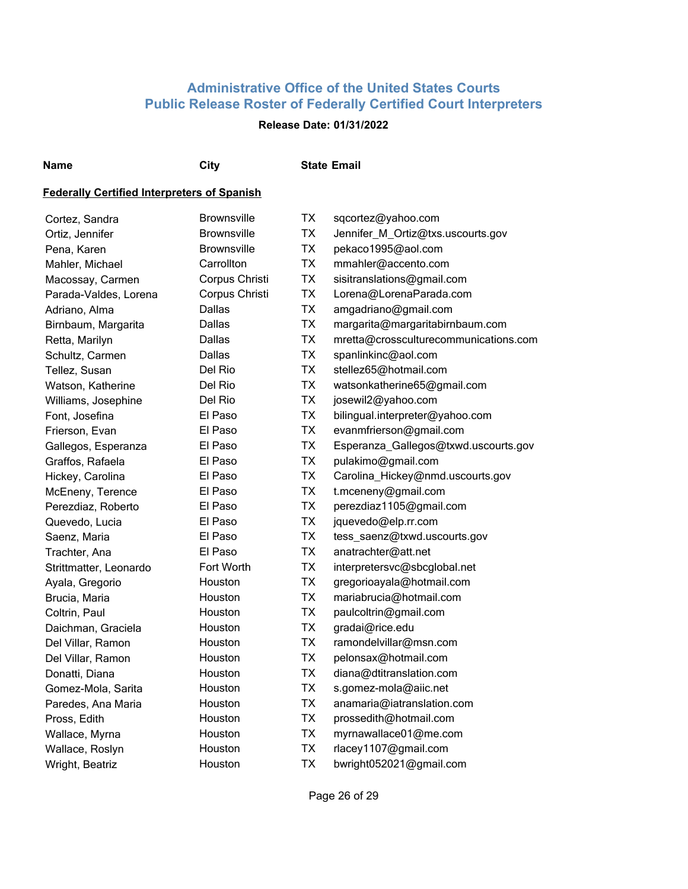## **Release Date: 01/31/2022**

**Name City State Email**

## **Federally Certified Interpreters of Spanish**

| Cortez, Sandra         | <b>Brownsville</b> | ТX        | sqcortez@yahoo.com                    |
|------------------------|--------------------|-----------|---------------------------------------|
| Ortiz, Jennifer        | <b>Brownsville</b> | <b>TX</b> | Jennifer_M_Ortiz@txs.uscourts.gov     |
| Pena, Karen            | <b>Brownsville</b> | <b>TX</b> | pekaco1995@aol.com                    |
| Mahler, Michael        | Carrollton         | <b>TX</b> | mmahler@accento.com                   |
| Macossay, Carmen       | Corpus Christi     | <b>TX</b> | sisitranslations@gmail.com            |
| Parada-Valdes, Lorena  | Corpus Christi     | <b>TX</b> | Lorena@LorenaParada.com               |
| Adriano, Alma          | Dallas             | <b>TX</b> | amgadriano@gmail.com                  |
| Birnbaum, Margarita    | Dallas             | <b>TX</b> | margarita@margaritabirnbaum.com       |
| Retta, Marilyn         | Dallas             | <b>TX</b> | mretta@crossculturecommunications.com |
| Schultz, Carmen        | Dallas             | <b>TX</b> | spanlinkinc@aol.com                   |
| Tellez, Susan          | Del Rio            | <b>TX</b> | stellez65@hotmail.com                 |
| Watson, Katherine      | Del Rio            | <b>TX</b> | watsonkatherine65@gmail.com           |
| Williams, Josephine    | Del Rio            | <b>TX</b> | josewil2@yahoo.com                    |
| Font, Josefina         | El Paso            | <b>TX</b> | bilingual.interpreter@yahoo.com       |
| Frierson, Evan         | El Paso            | <b>TX</b> | evanmfrierson@gmail.com               |
| Gallegos, Esperanza    | El Paso            | <b>TX</b> | Esperanza_Gallegos@txwd.uscourts.gov  |
| Graffos, Rafaela       | El Paso            | <b>TX</b> | pulakimo@gmail.com                    |
| Hickey, Carolina       | El Paso            | <b>TX</b> | Carolina_Hickey@nmd.uscourts.gov      |
| McEneny, Terence       | El Paso            | <b>TX</b> | t.mceneny@gmail.com                   |
| Perezdiaz, Roberto     | El Paso            | <b>TX</b> | perezdiaz1105@gmail.com               |
| Quevedo, Lucia         | El Paso            | <b>TX</b> | jquevedo@elp.rr.com                   |
| Saenz, Maria           | El Paso            | <b>TX</b> | tess_saenz@txwd.uscourts.gov          |
| Trachter, Ana          | El Paso            | <b>TX</b> | anatrachter@att.net                   |
| Strittmatter, Leonardo | Fort Worth         | <b>TX</b> | interpretersvc@sbcglobal.net          |
| Ayala, Gregorio        | Houston            | <b>TX</b> | gregorioayala@hotmail.com             |
| Brucia, Maria          | Houston            | <b>TX</b> | mariabrucia@hotmail.com               |
| Coltrin, Paul          | Houston            | <b>TX</b> | paulcoltrin@gmail.com                 |
| Daichman, Graciela     | Houston            | <b>TX</b> | gradai@rice.edu                       |
| Del Villar, Ramon      | Houston            | <b>TX</b> | ramondelvillar@msn.com                |
| Del Villar, Ramon      | Houston            | <b>TX</b> | pelonsax@hotmail.com                  |
| Donatti, Diana         | Houston            | <b>TX</b> | diana@dtitranslation.com              |
| Gomez-Mola, Sarita     | Houston            | <b>TX</b> | s.gomez-mola@aiic.net                 |
| Paredes, Ana Maria     | Houston            | <b>TX</b> | anamaria@iatranslation.com            |
| Pross, Edith           | Houston            | <b>TX</b> | prossedith@hotmail.com                |
| Wallace, Myrna         | Houston            | <b>TX</b> | myrnawallace01@me.com                 |
| Wallace, Roslyn        | Houston            | <b>TX</b> | rlacey1107@gmail.com                  |
| Wright, Beatriz        | Houston            | <b>TX</b> | bwright052021@gmail.com               |

Page 26 of 29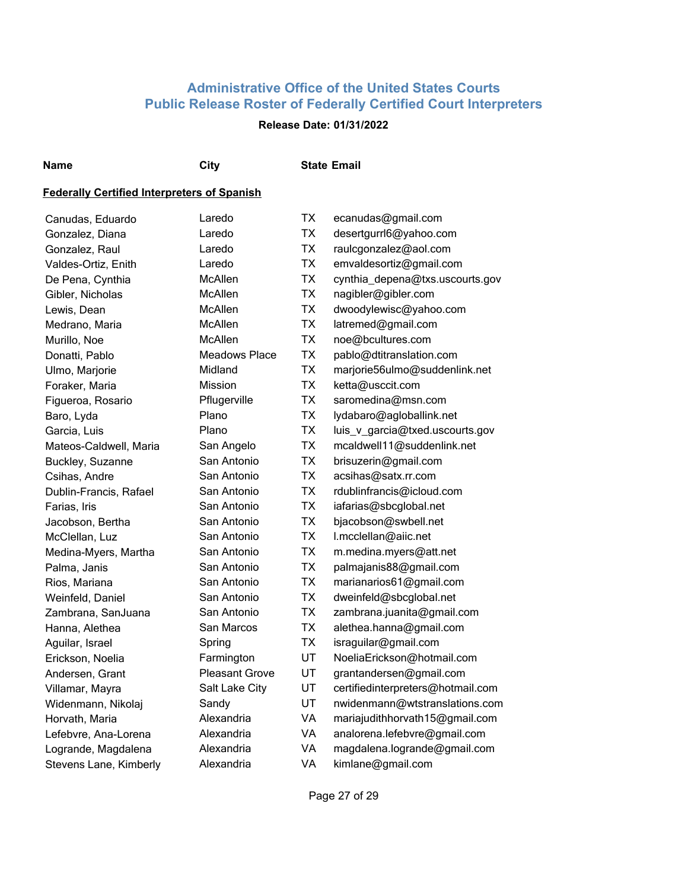## **Release Date: 01/31/2022**

**Name City State Email**

| Canudas, Eduardo       | Laredo                | TX        | ecanudas@gmail.com                |
|------------------------|-----------------------|-----------|-----------------------------------|
| Gonzalez, Diana        | Laredo                | <b>TX</b> | desertgurrl6@yahoo.com            |
| Gonzalez, Raul         | Laredo                | <b>TX</b> | raulcgonzalez@aol.com             |
| Valdes-Ortiz, Enith    | Laredo                | <b>TX</b> | emvaldesortiz@gmail.com           |
| De Pena, Cynthia       | <b>McAllen</b>        | <b>TX</b> | cynthia_depena@txs.uscourts.gov   |
| Gibler, Nicholas       | McAllen               | <b>TX</b> | nagibler@gibler.com               |
| Lewis, Dean            | <b>McAllen</b>        | <b>TX</b> | dwoodylewisc@yahoo.com            |
| Medrano, Maria         | McAllen               | <b>TX</b> | latremed@gmail.com                |
| Murillo, Noe           | McAllen               | <b>TX</b> | noe@bcultures.com                 |
| Donatti, Pablo         | <b>Meadows Place</b>  | <b>TX</b> | pablo@dtitranslation.com          |
| Ulmo, Marjorie         | Midland               | <b>TX</b> | marjorie56ulmo@suddenlink.net     |
| Foraker, Maria         | Mission               | <b>TX</b> | ketta@usccit.com                  |
| Figueroa, Rosario      | Pflugerville          | <b>TX</b> | saromedina@msn.com                |
| Baro, Lyda             | Plano                 | <b>TX</b> | lydabaro@agloballink.net          |
| Garcia, Luis           | Plano                 | <b>TX</b> | luis_v_garcia@txed.uscourts.gov   |
| Mateos-Caldwell, Maria | San Angelo            | <b>TX</b> | mcaldwell11@suddenlink.net        |
| Buckley, Suzanne       | San Antonio           | <b>TX</b> | brisuzerin@gmail.com              |
| Csihas, Andre          | San Antonio           | <b>TX</b> | acsihas@satx.rr.com               |
| Dublin-Francis, Rafael | San Antonio           | <b>TX</b> | rdublinfrancis@icloud.com         |
| Farias, Iris           | San Antonio           | <b>TX</b> | iafarias@sbcglobal.net            |
| Jacobson, Bertha       | San Antonio           | <b>TX</b> | bjacobson@swbell.net              |
| McClellan, Luz         | San Antonio           | <b>TX</b> | I.mcclellan@aiic.net              |
| Medina-Myers, Martha   | San Antonio           | <b>TX</b> | m.medina.myers@att.net            |
| Palma, Janis           | San Antonio           | <b>TX</b> | palmajanis88@gmail.com            |
| Rios, Mariana          | San Antonio           | <b>TX</b> | marianarios61@gmail.com           |
| Weinfeld, Daniel       | San Antonio           | <b>TX</b> | dweinfeld@sbcglobal.net           |
| Zambrana, SanJuana     | San Antonio           | <b>TX</b> | zambrana.juanita@gmail.com        |
| Hanna, Alethea         | San Marcos            | <b>TX</b> | alethea.hanna@gmail.com           |
| Aguilar, Israel        | Spring                | <b>TX</b> | israguilar@gmail.com              |
| Erickson, Noelia       | Farmington            | UT        | NoeliaErickson@hotmail.com        |
| Andersen, Grant        | <b>Pleasant Grove</b> | <b>UT</b> | grantandersen@gmail.com           |
| Villamar, Mayra        | Salt Lake City        | UT        | certifiedinterpreters@hotmail.com |
| Widenmann, Nikolaj     | Sandy                 | UT        | nwidenmann@wtstranslations.com    |
| Horvath, Maria         | Alexandria            | <b>VA</b> | mariajudithhorvath15@gmail.com    |
| Lefebvre, Ana-Lorena   | Alexandria            | <b>VA</b> | analorena.lefebvre@gmail.com      |
| Logrande, Magdalena    | Alexandria            | VA        | magdalena.logrande@gmail.com      |
| Stevens Lane, Kimberly | Alexandria            | VA        | kimlane@gmail.com                 |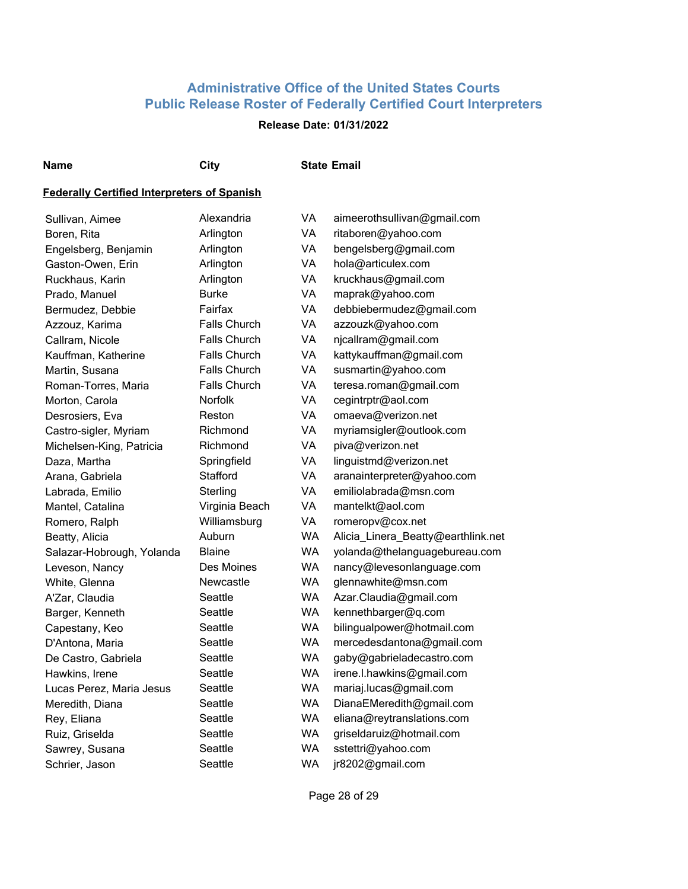## **Release Date: 01/31/2022**

#### **Name City State Email**

## **Federally Certified Interpreters of Spanish**

| Sullivan, Aimee           | Alexandria          | VA        | aimeerothsullivan@gmail.com        |
|---------------------------|---------------------|-----------|------------------------------------|
| Boren, Rita               | Arlington           | VA        | ritaboren@yahoo.com                |
| Engelsberg, Benjamin      | Arlington           | VA        | bengelsberg@gmail.com              |
| Gaston-Owen, Erin         | Arlington           | VA        | hola@articulex.com                 |
| Ruckhaus, Karin           | Arlington           | VA        | kruckhaus@gmail.com                |
| Prado, Manuel             | <b>Burke</b>        | VA        | maprak@yahoo.com                   |
| Bermudez, Debbie          | Fairfax             | VA        | debbiebermudez@gmail.com           |
| Azzouz, Karima            | <b>Falls Church</b> | VA        | azzouzk@yahoo.com                  |
| Callram, Nicole           | <b>Falls Church</b> | VA        | njcallram@gmail.com                |
| Kauffman, Katherine       | <b>Falls Church</b> | VA        | kattykauffman@gmail.com            |
| Martin, Susana            | <b>Falls Church</b> | VA        | susmartin@yahoo.com                |
| Roman-Torres, Maria       | <b>Falls Church</b> | VA        | teresa.roman@gmail.com             |
| Morton, Carola            | Norfolk             | VA        | cegintrptr@aol.com                 |
| Desrosiers, Eva           | Reston              | VA        | omaeva@verizon.net                 |
| Castro-sigler, Myriam     | Richmond            | VA        | myriamsigler@outlook.com           |
| Michelsen-King, Patricia  | Richmond            | VA        | piva@verizon.net                   |
| Daza, Martha              | Springfield         | VA        | linguistmd@verizon.net             |
| Arana, Gabriela           | Stafford            | VA        | aranainterpreter@yahoo.com         |
| Labrada, Emilio           | Sterling            | VA        | emiliolabrada@msn.com              |
| Mantel, Catalina          | Virginia Beach      | VA        | mantelkt@aol.com                   |
| Romero, Ralph             | Williamsburg        | VA        | romeropv@cox.net                   |
| Beatty, Alicia            | Auburn              | <b>WA</b> | Alicia_Linera_Beatty@earthlink.net |
| Salazar-Hobrough, Yolanda | <b>Blaine</b>       | <b>WA</b> | yolanda@thelanguagebureau.com      |
| Leveson, Nancy            | Des Moines          | <b>WA</b> | nancy@levesonlanguage.com          |
| White, Glenna             | Newcastle           | <b>WA</b> | glennawhite@msn.com                |
| A'Zar, Claudia            | Seattle             | <b>WA</b> | Azar.Claudia@gmail.com             |
| Barger, Kenneth           | Seattle             | <b>WA</b> | kennethbarger@q.com                |
| Capestany, Keo            | Seattle             | <b>WA</b> | bilingualpower@hotmail.com         |
| D'Antona, Maria           | Seattle             | <b>WA</b> | mercedesdantona@gmail.com          |
| De Castro, Gabriela       | Seattle             | <b>WA</b> | gaby@gabrieladecastro.com          |
| Hawkins, Irene            | Seattle             | <b>WA</b> | irene.l.hawkins@gmail.com          |
| Lucas Perez, Maria Jesus  | Seattle             | <b>WA</b> | mariaj.lucas@gmail.com             |
| Meredith, Diana           | Seattle             | <b>WA</b> | DianaEMeredith@gmail.com           |
| Rey, Eliana               | Seattle             | <b>WA</b> | eliana@reytranslations.com         |
| Ruiz, Griselda            | Seattle             | WA        | griseldaruiz@hotmail.com           |
| Sawrey, Susana            | Seattle             | <b>WA</b> | sstettri@yahoo.com                 |
| Schrier, Jason            | Seattle             | <b>WA</b> | jr8202@gmail.com                   |

Page 28 of 29